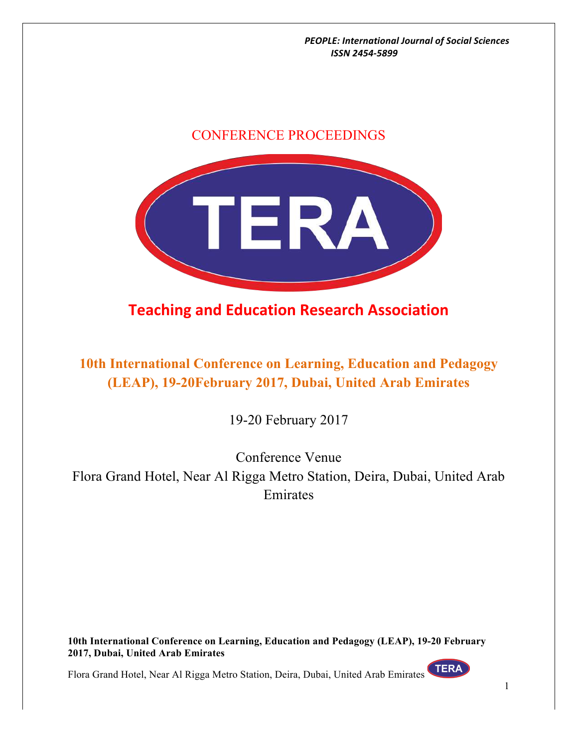## CONFERENCE PROCEEDINGS



## **Teaching and Education Research Association**

**10th International Conference on Learning, Education and Pedagogy (LEAP), 19-20February 2017, Dubai, United Arab Emirates**

19-20 February 2017

Conference Venue Flora Grand Hotel, Near Al Rigga Metro Station, Deira, Dubai, United Arab Emirates

**10th International Conference on Learning, Education and Pedagogy (LEAP), 19-20 February 2017, Dubai, United Arab Emirates**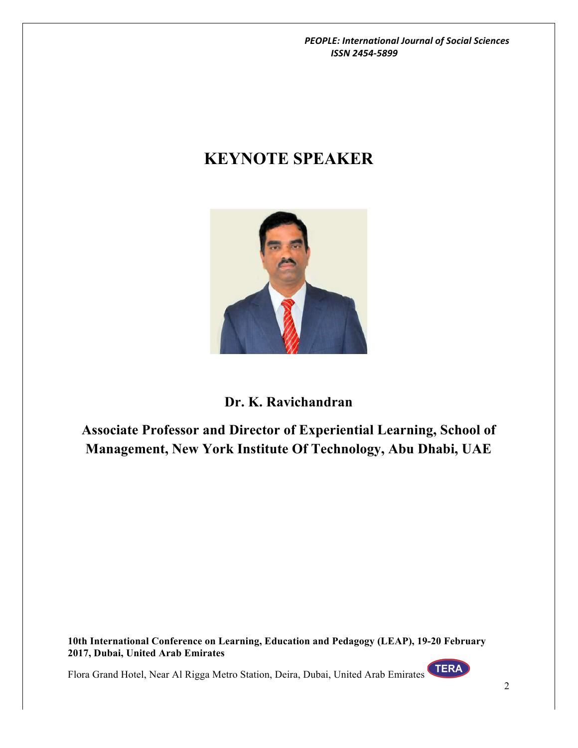# **KEYNOTE SPEAKER**



## **Dr. K. Ravichandran**

**Associate Professor and Director of Experiential Learning, School of Management, New York Institute Of Technology, Abu Dhabi, UAE**

**10th International Conference on Learning, Education and Pedagogy (LEAP), 19-20 February 2017, Dubai, United Arab Emirates**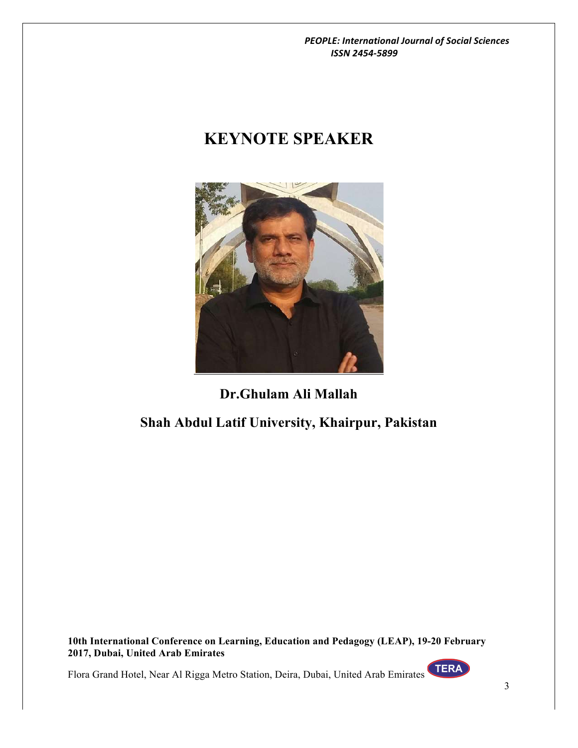# **KEYNOTE SPEAKER**



## **Dr.Ghulam Ali Mallah**

## **Shah Abdul Latif University, Khairpur, Pakistan**

**10th International Conference on Learning, Education and Pedagogy (LEAP), 19-20 February 2017, Dubai, United Arab Emirates**

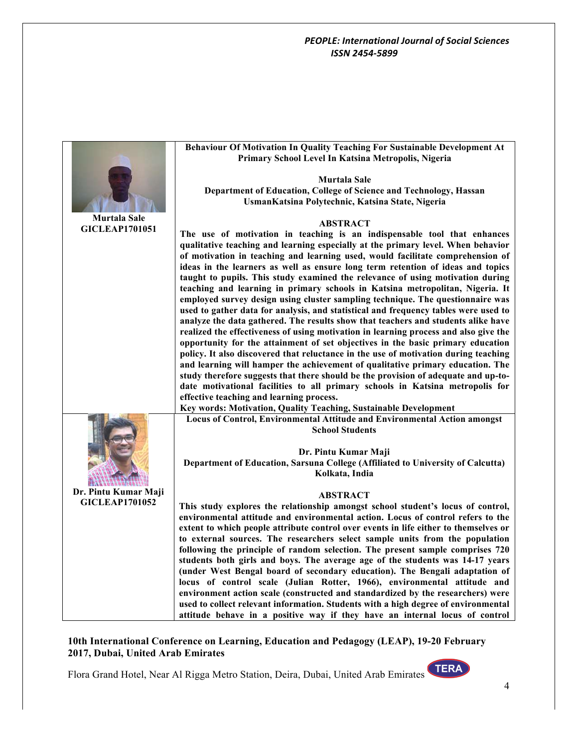|                       | Behaviour Of Motivation In Quality Teaching For Sustainable Development At           |
|-----------------------|--------------------------------------------------------------------------------------|
|                       | Primary School Level In Katsina Metropolis, Nigeria                                  |
|                       |                                                                                      |
|                       | <b>Murtala Sale</b>                                                                  |
|                       |                                                                                      |
|                       | Department of Education, College of Science and Technology, Hassan                   |
|                       | UsmanKatsina Polytechnic, Katsina State, Nigeria                                     |
|                       |                                                                                      |
| <b>Murtala Sale</b>   | <b>ABSTRACT</b>                                                                      |
| <b>GICLEAP1701051</b> | The use of motivation in teaching is an indispensable tool that enhances             |
|                       |                                                                                      |
|                       | qualitative teaching and learning especially at the primary level. When behavior     |
|                       | of motivation in teaching and learning used, would facilitate comprehension of       |
|                       | ideas in the learners as well as ensure long term retention of ideas and topics      |
|                       | taught to pupils. This study examined the relevance of using motivation during       |
|                       | teaching and learning in primary schools in Katsina metropolitan, Nigeria. It        |
|                       | employed survey design using cluster sampling technique. The questionnaire was       |
|                       |                                                                                      |
|                       | used to gather data for analysis, and statistical and frequency tables were used to  |
|                       | analyze the data gathered. The results show that teachers and students alike have    |
|                       | realized the effectiveness of using motivation in learning process and also give the |
|                       | opportunity for the attainment of set objectives in the basic primary education      |
|                       | policy. It also discovered that reluctance in the use of motivation during teaching  |
|                       | and learning will hamper the achievement of qualitative primary education. The       |
|                       | study therefore suggests that there should be the provision of adequate and up-to-   |
|                       |                                                                                      |
|                       | date motivational facilities to all primary schools in Katsina metropolis for        |
|                       | effective teaching and learning process.                                             |
|                       | Key words: Motivation, Quality Teaching, Sustainable Development                     |
|                       | Locus of Control, Environmental Attitude and Environmental Action amongst            |
|                       | <b>School Students</b>                                                               |
|                       |                                                                                      |
|                       |                                                                                      |
|                       | Dr. Pintu Kumar Maji                                                                 |
|                       | Department of Education, Sarsuna College (Affiliated to University of Calcutta)      |
|                       | Kolkata, India                                                                       |
|                       |                                                                                      |
| Dr. Pintu Kumar Maji  | <b>ABSTRACT</b>                                                                      |
| <b>GICLEAP1701052</b> | This study explores the relationship amongst school student's locus of control,      |
|                       | environmental attitude and environmental action. Locus of control refers to the      |
|                       |                                                                                      |
|                       | extent to which people attribute control over events in life either to themselves or |
|                       | to external sources. The researchers select sample units from the population         |
|                       | following the principle of random selection. The present sample comprises 720        |
|                       | students both girls and boys. The average age of the students was 14-17 years        |
|                       | (under West Bengal board of secondary education). The Bengali adaptation of          |
|                       | locus of control scale (Julian Rotter, 1966), environmental attitude and             |
|                       | environment action scale (constructed and standardized by the researchers) were      |
|                       |                                                                                      |
|                       | used to collect relevant information. Students with a high degree of environmental   |
|                       | attitude behave in a positive way if they have an internal locus of control          |

## **10th International Conference on Learning, Education and Pedagogy (LEAP), 19-20 February 2017, Dubai, United Arab Emirates**

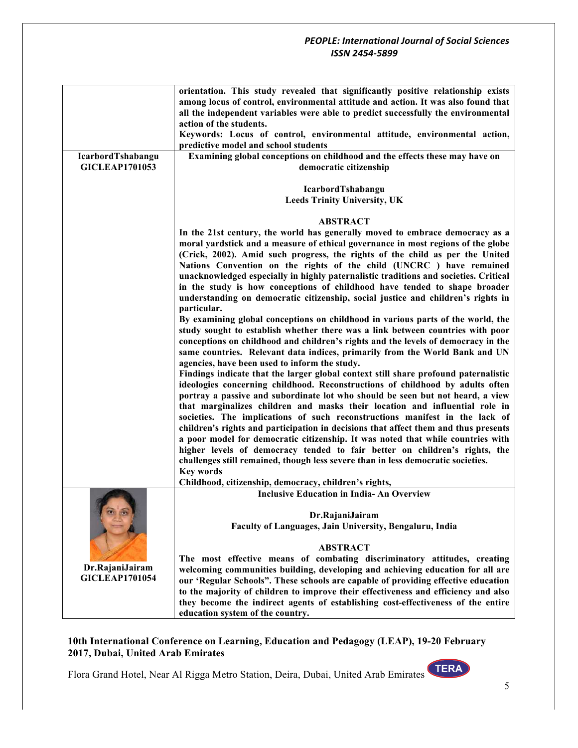|                       | orientation. This study revealed that significantly positive relationship exists     |
|-----------------------|--------------------------------------------------------------------------------------|
|                       | among locus of control, environmental attitude and action. It was also found that    |
|                       | all the independent variables were able to predict successfully the environmental    |
|                       | action of the students.                                                              |
|                       | Keywords: Locus of control, environmental attitude, environmental action,            |
|                       | predictive model and school students                                                 |
| IcarbordTshabangu     | Examining global conceptions on childhood and the effects these may have on          |
| <b>GICLEAP1701053</b> | democratic citizenship                                                               |
|                       |                                                                                      |
|                       | IcarbordTshabangu                                                                    |
|                       | <b>Leeds Trinity University, UK</b>                                                  |
|                       | <b>ABSTRACT</b>                                                                      |
|                       | In the 21st century, the world has generally moved to embrace democracy as a         |
|                       | moral yardstick and a measure of ethical governance in most regions of the globe     |
|                       | (Crick, 2002). Amid such progress, the rights of the child as per the United         |
|                       | Nations Convention on the rights of the child (UNCRC ) have remained                 |
|                       | unacknowledged especially in highly paternalistic traditions and societies. Critical |
|                       | in the study is how conceptions of childhood have tended to shape broader            |
|                       | understanding on democratic citizenship, social justice and children's rights in     |
|                       | particular.                                                                          |
|                       | By examining global conceptions on childhood in various parts of the world, the      |
|                       | study sought to establish whether there was a link between countries with poor       |
|                       | conceptions on childhood and children's rights and the levels of democracy in the    |
|                       | same countries. Relevant data indices, primarily from the World Bank and UN          |
|                       | agencies, have been used to inform the study.                                        |
|                       | Findings indicate that the larger global context still share profound paternalistic  |
|                       | ideologies concerning childhood. Reconstructions of childhood by adults often        |
|                       | portray a passive and subordinate lot who should be seen but not heard, a view       |
|                       | that marginalizes children and masks their location and influential role in          |
|                       | societies. The implications of such reconstructions manifest in the lack of          |
|                       | children's rights and participation in decisions that affect them and thus presents  |
|                       | a poor model for democratic citizenship. It was noted that while countries with      |
|                       | higher levels of democracy tended to fair better on children's rights, the           |
|                       | challenges still remained, though less severe than in less democratic societies.     |
|                       | <b>Key words</b>                                                                     |
|                       | Childhood, citizenship, democracy, children's rights,                                |
|                       | <b>Inclusive Education in India- An Overview</b>                                     |
|                       |                                                                                      |
|                       | Dr.RajaniJairam<br>Faculty of Languages, Jain University, Bengaluru, India           |
|                       |                                                                                      |
|                       | <b>ABSTRACT</b>                                                                      |
|                       | The most effective means of combating discriminatory attitudes, creating             |
| Dr.RajaniJairam       | welcoming communities building, developing and achieving education for all are       |
| <b>GICLEAP1701054</b> | our 'Regular Schools". These schools are capable of providing effective education    |
|                       | to the majority of children to improve their effectiveness and efficiency and also   |
|                       | they become the indirect agents of establishing cost-effectiveness of the entire     |
|                       | education system of the country.                                                     |

**10th International Conference on Learning, Education and Pedagogy (LEAP), 19-20 February 2017, Dubai, United Arab Emirates**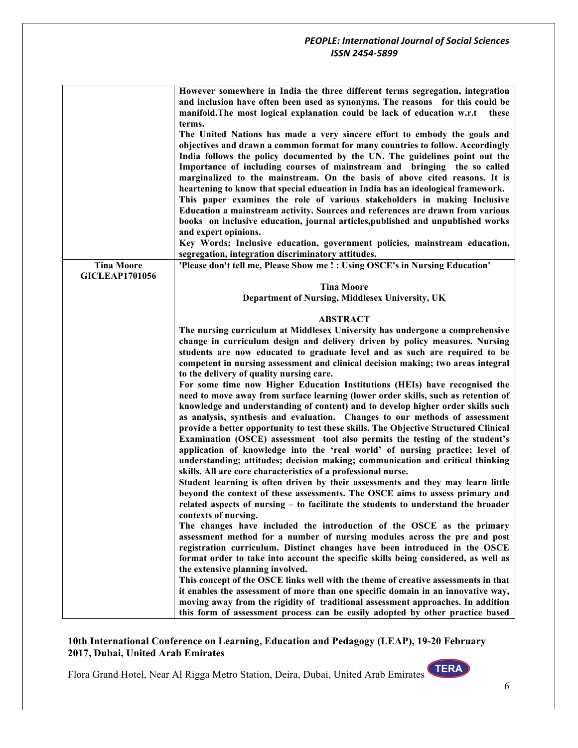|                       | However somewhere in India the three different terms segregation, integration<br>and inclusion have often been used as synonyms. The reasons for this could be<br>manifold. The most logical explanation could be lack of education w.r.t<br>these |
|-----------------------|----------------------------------------------------------------------------------------------------------------------------------------------------------------------------------------------------------------------------------------------------|
|                       | terms.                                                                                                                                                                                                                                             |
|                       | The United Nations has made a very sincere effort to embody the goals and                                                                                                                                                                          |
|                       | objectives and drawn a common format for many countries to follow. Accordingly                                                                                                                                                                     |
|                       | India follows the policy documented by the UN. The guidelines point out the                                                                                                                                                                        |
|                       | Importance of including courses of mainstream and bringing the so called                                                                                                                                                                           |
|                       | marginalized to the mainstream. On the basis of above cited reasons. It is                                                                                                                                                                         |
|                       | heartening to know that special education in India has an ideological framework.                                                                                                                                                                   |
|                       | This paper examines the role of various stakeholders in making Inclusive                                                                                                                                                                           |
|                       | Education a mainstream activity. Sources and references are drawn from various                                                                                                                                                                     |
|                       | books on inclusive education, journal articles, published and unpublished works                                                                                                                                                                    |
|                       | and expert opinions.                                                                                                                                                                                                                               |
|                       | Key Words: Inclusive education, government policies, mainstream education,                                                                                                                                                                         |
|                       | segregation, integration discriminatory attitudes.                                                                                                                                                                                                 |
| <b>Tina Moore</b>     | 'Please don't tell me, Please Show me ! : Using OSCE's in Nursing Education'                                                                                                                                                                       |
| <b>GICLEAP1701056</b> |                                                                                                                                                                                                                                                    |
|                       | <b>Tina Moore</b>                                                                                                                                                                                                                                  |
|                       | Department of Nursing, Middlesex University, UK                                                                                                                                                                                                    |
|                       |                                                                                                                                                                                                                                                    |
|                       | <b>ABSTRACT</b>                                                                                                                                                                                                                                    |
|                       | The nursing curriculum at Middlesex University has undergone a comprehensive                                                                                                                                                                       |
|                       | change in curriculum design and delivery driven by policy measures. Nursing                                                                                                                                                                        |
|                       | students are now educated to graduate level and as such are required to be                                                                                                                                                                         |
|                       | competent in nursing assessment and clinical decision making; two areas integral                                                                                                                                                                   |
|                       | to the delivery of quality nursing care.                                                                                                                                                                                                           |
|                       | For some time now Higher Education Institutions (HEIs) have recognised the                                                                                                                                                                         |
|                       | need to move away from surface learning (lower order skills, such as retention of                                                                                                                                                                  |
|                       | knowledge and understanding of content) and to develop higher order skills such                                                                                                                                                                    |
|                       |                                                                                                                                                                                                                                                    |
|                       | as analysis, synthesis and evaluation. Changes to our methods of assessment                                                                                                                                                                        |
|                       | provide a better opportunity to test these skills. The Objective Structured Clinical                                                                                                                                                               |
|                       | Examination (OSCE) assessment tool also permits the testing of the student's                                                                                                                                                                       |
|                       | application of knowledge into the 'real world' of nursing practice; level of                                                                                                                                                                       |
|                       | understanding; attitudes; decision making; communication and critical thinking                                                                                                                                                                     |
|                       | skills. All are core characteristics of a professional nurse.                                                                                                                                                                                      |
|                       | Student learning is often driven by their assessments and they may learn little                                                                                                                                                                    |
|                       | beyond the context of these assessments. The OSCE aims to assess primary and                                                                                                                                                                       |
|                       | related aspects of nursing - to facilitate the students to understand the broader                                                                                                                                                                  |
|                       | contexts of nursing.                                                                                                                                                                                                                               |
|                       | The changes have included the introduction of the OSCE as the primary                                                                                                                                                                              |
|                       | assessment method for a number of nursing modules across the pre and post                                                                                                                                                                          |
|                       | registration curriculum. Distinct changes have been introduced in the OSCE                                                                                                                                                                         |
|                       | format order to take into account the specific skills being considered, as well as                                                                                                                                                                 |
|                       | the extensive planning involved.                                                                                                                                                                                                                   |
|                       | This concept of the OSCE links well with the theme of creative assessments in that                                                                                                                                                                 |
|                       | it enables the assessment of more than one specific domain in an innovative way,                                                                                                                                                                   |
|                       | moving away from the rigidity of traditional assessment approaches. In addition                                                                                                                                                                    |
|                       | this form of assessment process can be easily adopted by other practice based                                                                                                                                                                      |

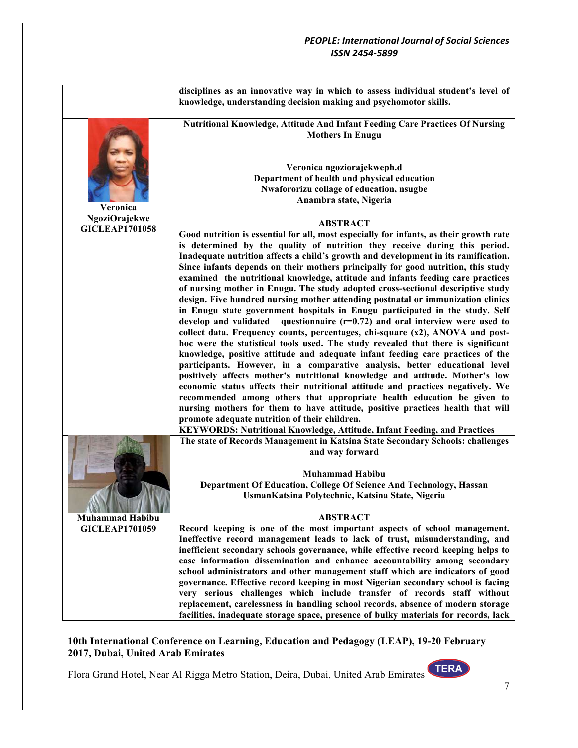|                        | disciplines as an innovative way in which to assess individual student's level of<br>knowledge, understanding decision making and psychomotor skills.                |
|------------------------|----------------------------------------------------------------------------------------------------------------------------------------------------------------------|
|                        | Nutritional Knowledge, Attitude And Infant Feeding Care Practices Of Nursing<br><b>Mothers In Enugu</b>                                                              |
|                        | Veronica ngoziorajekweph.d                                                                                                                                           |
|                        | Department of health and physical education                                                                                                                          |
|                        | Nwafororizu collage of education, nsugbe                                                                                                                             |
| Veronica               | Anambra state, Nigeria                                                                                                                                               |
| <b>NgoziOrajekwe</b>   |                                                                                                                                                                      |
| <b>GICLEAP1701058</b>  | <b>ABSTRACT</b>                                                                                                                                                      |
|                        | Good nutrition is essential for all, most especially for infants, as their growth rate<br>is determined by the quality of nutrition they receive during this period. |
|                        | Inadequate nutrition affects a child's growth and development in its ramification.                                                                                   |
|                        | Since infants depends on their mothers principally for good nutrition, this study                                                                                    |
|                        | examined the nutritional knowledge, attitude and infants feeding care practices                                                                                      |
|                        | of nursing mother in Enugu. The study adopted cross-sectional descriptive study                                                                                      |
|                        | design. Five hundred nursing mother attending postnatal or immunization clinics<br>in Enugu state government hospitals in Enugu participated in the study. Self      |
|                        | develop and validated questionnaire $(r=0.72)$ and oral interview were used to                                                                                       |
|                        | collect data. Frequency counts, percentages, chi-square (x2), ANOVA and post-                                                                                        |
|                        | hoc were the statistical tools used. The study revealed that there is significant                                                                                    |
|                        | knowledge, positive attitude and adequate infant feeding care practices of the                                                                                       |
|                        | participants. However, in a comparative analysis, better educational level<br>positively affects mother's nutritional knowledge and attitude. Mother's low           |
|                        | economic status affects their nutritional attitude and practices negatively. We                                                                                      |
|                        | recommended among others that appropriate health education be given to                                                                                               |
|                        | nursing mothers for them to have attitude, positive practices health that will                                                                                       |
|                        | promote adequate nutrition of their children.                                                                                                                        |
|                        | KEYWORDS: Nutritional Knowledge, Attitude, Infant Feeding, and Practices<br>The state of Records Management in Katsina State Secondary Schools: challenges           |
|                        | and way forward                                                                                                                                                      |
|                        |                                                                                                                                                                      |
|                        | <b>Muhammad Habibu</b>                                                                                                                                               |
|                        | Department Of Education, College Of Science And Technology, Hassan                                                                                                   |
|                        | UsmanKatsina Polytechnic, Katsina State, Nigeria                                                                                                                     |
| <b>Muhammad Habibu</b> | <b>ABSTRACT</b>                                                                                                                                                      |
| <b>GICLEAP1701059</b>  | Record keeping is one of the most important aspects of school management.                                                                                            |
|                        | Ineffective record management leads to lack of trust, misunderstanding, and                                                                                          |
|                        | inefficient secondary schools governance, while effective record keeping helps to                                                                                    |
|                        | ease information dissemination and enhance accountability among secondary<br>school administrators and other management staff which are indicators of good           |
|                        | governance. Effective record keeping in most Nigerian secondary school is facing                                                                                     |
|                        | very serious challenges which include transfer of records staff without                                                                                              |
|                        | replacement, carelessness in handling school records, absence of modern storage                                                                                      |
|                        | facilities, inadequate storage space, presence of bulky materials for records, lack                                                                                  |

**10th International Conference on Learning, Education and Pedagogy (LEAP), 19-20 February 2017, Dubai, United Arab Emirates**

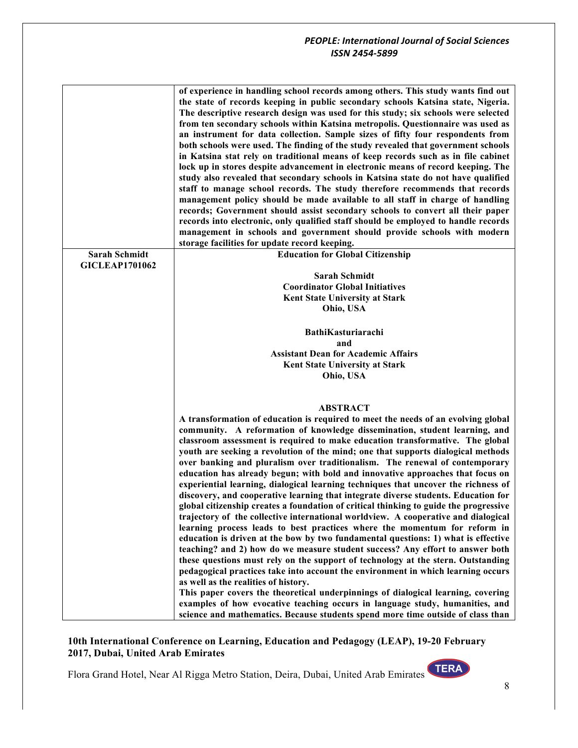|                       | of experience in handling school records among others. This study wants find out<br>the state of records keeping in public secondary schools Katsina state, Nigeria.<br>The descriptive research design was used for this study; six schools were selected<br>from ten secondary schools within Katsina metropolis. Questionnaire was used as<br>an instrument for data collection. Sample sizes of fifty four respondents from<br>both schools were used. The finding of the study revealed that government schools<br>in Katsina stat rely on traditional means of keep records such as in file cabinet<br>lock up in stores despite advancement in electronic means of record keeping. The<br>study also revealed that secondary schools in Katsina state do not have qualified<br>staff to manage school records. The study therefore recommends that records<br>management policy should be made available to all staff in charge of handling<br>records; Government should assist secondary schools to convert all their paper<br>records into electronic, only qualified staff should be employed to handle records<br>management in schools and government should provide schools with modern |
|-----------------------|-------------------------------------------------------------------------------------------------------------------------------------------------------------------------------------------------------------------------------------------------------------------------------------------------------------------------------------------------------------------------------------------------------------------------------------------------------------------------------------------------------------------------------------------------------------------------------------------------------------------------------------------------------------------------------------------------------------------------------------------------------------------------------------------------------------------------------------------------------------------------------------------------------------------------------------------------------------------------------------------------------------------------------------------------------------------------------------------------------------------------------------------------------------------------------------------------------|
| <b>Sarah Schmidt</b>  | storage facilities for update record keeping.<br><b>Education for Global Citizenship</b>                                                                                                                                                                                                                                                                                                                                                                                                                                                                                                                                                                                                                                                                                                                                                                                                                                                                                                                                                                                                                                                                                                              |
| <b>GICLEAP1701062</b> |                                                                                                                                                                                                                                                                                                                                                                                                                                                                                                                                                                                                                                                                                                                                                                                                                                                                                                                                                                                                                                                                                                                                                                                                       |
|                       | <b>Sarah Schmidt</b>                                                                                                                                                                                                                                                                                                                                                                                                                                                                                                                                                                                                                                                                                                                                                                                                                                                                                                                                                                                                                                                                                                                                                                                  |
|                       | <b>Coordinator Global Initiatives</b>                                                                                                                                                                                                                                                                                                                                                                                                                                                                                                                                                                                                                                                                                                                                                                                                                                                                                                                                                                                                                                                                                                                                                                 |
|                       | Kent State University at Stark                                                                                                                                                                                                                                                                                                                                                                                                                                                                                                                                                                                                                                                                                                                                                                                                                                                                                                                                                                                                                                                                                                                                                                        |
|                       | Ohio, USA                                                                                                                                                                                                                                                                                                                                                                                                                                                                                                                                                                                                                                                                                                                                                                                                                                                                                                                                                                                                                                                                                                                                                                                             |
|                       |                                                                                                                                                                                                                                                                                                                                                                                                                                                                                                                                                                                                                                                                                                                                                                                                                                                                                                                                                                                                                                                                                                                                                                                                       |
|                       | BathiKasturiarachi                                                                                                                                                                                                                                                                                                                                                                                                                                                                                                                                                                                                                                                                                                                                                                                                                                                                                                                                                                                                                                                                                                                                                                                    |
|                       | and                                                                                                                                                                                                                                                                                                                                                                                                                                                                                                                                                                                                                                                                                                                                                                                                                                                                                                                                                                                                                                                                                                                                                                                                   |
|                       | <b>Assistant Dean for Academic Affairs</b>                                                                                                                                                                                                                                                                                                                                                                                                                                                                                                                                                                                                                                                                                                                                                                                                                                                                                                                                                                                                                                                                                                                                                            |
|                       | Kent State University at Stark                                                                                                                                                                                                                                                                                                                                                                                                                                                                                                                                                                                                                                                                                                                                                                                                                                                                                                                                                                                                                                                                                                                                                                        |
|                       | Ohio, USA                                                                                                                                                                                                                                                                                                                                                                                                                                                                                                                                                                                                                                                                                                                                                                                                                                                                                                                                                                                                                                                                                                                                                                                             |
|                       |                                                                                                                                                                                                                                                                                                                                                                                                                                                                                                                                                                                                                                                                                                                                                                                                                                                                                                                                                                                                                                                                                                                                                                                                       |
|                       | <b>ABSTRACT</b>                                                                                                                                                                                                                                                                                                                                                                                                                                                                                                                                                                                                                                                                                                                                                                                                                                                                                                                                                                                                                                                                                                                                                                                       |
|                       | A transformation of education is required to meet the needs of an evolving global                                                                                                                                                                                                                                                                                                                                                                                                                                                                                                                                                                                                                                                                                                                                                                                                                                                                                                                                                                                                                                                                                                                     |
|                       | community. A reformation of knowledge dissemination, student learning, and                                                                                                                                                                                                                                                                                                                                                                                                                                                                                                                                                                                                                                                                                                                                                                                                                                                                                                                                                                                                                                                                                                                            |
|                       | classroom assessment is required to make education transformative. The global                                                                                                                                                                                                                                                                                                                                                                                                                                                                                                                                                                                                                                                                                                                                                                                                                                                                                                                                                                                                                                                                                                                         |
|                       | youth are seeking a revolution of the mind; one that supports dialogical methods                                                                                                                                                                                                                                                                                                                                                                                                                                                                                                                                                                                                                                                                                                                                                                                                                                                                                                                                                                                                                                                                                                                      |
|                       | over banking and pluralism over traditionalism. The renewal of contemporary                                                                                                                                                                                                                                                                                                                                                                                                                                                                                                                                                                                                                                                                                                                                                                                                                                                                                                                                                                                                                                                                                                                           |
|                       | education has already begun; with bold and innovative approaches that focus on                                                                                                                                                                                                                                                                                                                                                                                                                                                                                                                                                                                                                                                                                                                                                                                                                                                                                                                                                                                                                                                                                                                        |
|                       | experiential learning, dialogical learning techniques that uncover the richness of                                                                                                                                                                                                                                                                                                                                                                                                                                                                                                                                                                                                                                                                                                                                                                                                                                                                                                                                                                                                                                                                                                                    |
|                       | discovery, and cooperative learning that integrate diverse students. Education for                                                                                                                                                                                                                                                                                                                                                                                                                                                                                                                                                                                                                                                                                                                                                                                                                                                                                                                                                                                                                                                                                                                    |
|                       | global citizenship creates a foundation of critical thinking to guide the progressive<br>trajectory of the collective international worldview. A cooperative and dialogical                                                                                                                                                                                                                                                                                                                                                                                                                                                                                                                                                                                                                                                                                                                                                                                                                                                                                                                                                                                                                           |
|                       | learning process leads to best practices where the momentum for reform in                                                                                                                                                                                                                                                                                                                                                                                                                                                                                                                                                                                                                                                                                                                                                                                                                                                                                                                                                                                                                                                                                                                             |
|                       | education is driven at the bow by two fundamental questions: 1) what is effective                                                                                                                                                                                                                                                                                                                                                                                                                                                                                                                                                                                                                                                                                                                                                                                                                                                                                                                                                                                                                                                                                                                     |
|                       | teaching? and 2) how do we measure student success? Any effort to answer both                                                                                                                                                                                                                                                                                                                                                                                                                                                                                                                                                                                                                                                                                                                                                                                                                                                                                                                                                                                                                                                                                                                         |
|                       | these questions must rely on the support of technology at the stern. Outstanding                                                                                                                                                                                                                                                                                                                                                                                                                                                                                                                                                                                                                                                                                                                                                                                                                                                                                                                                                                                                                                                                                                                      |
|                       | pedagogical practices take into account the environment in which learning occurs                                                                                                                                                                                                                                                                                                                                                                                                                                                                                                                                                                                                                                                                                                                                                                                                                                                                                                                                                                                                                                                                                                                      |
|                       | as well as the realities of history.                                                                                                                                                                                                                                                                                                                                                                                                                                                                                                                                                                                                                                                                                                                                                                                                                                                                                                                                                                                                                                                                                                                                                                  |
|                       | This paper covers the theoretical underpinnings of dialogical learning, covering                                                                                                                                                                                                                                                                                                                                                                                                                                                                                                                                                                                                                                                                                                                                                                                                                                                                                                                                                                                                                                                                                                                      |
|                       | examples of how evocative teaching occurs in language study, humanities, and                                                                                                                                                                                                                                                                                                                                                                                                                                                                                                                                                                                                                                                                                                                                                                                                                                                                                                                                                                                                                                                                                                                          |
|                       | science and mathematics. Because students spend more time outside of class than                                                                                                                                                                                                                                                                                                                                                                                                                                                                                                                                                                                                                                                                                                                                                                                                                                                                                                                                                                                                                                                                                                                       |

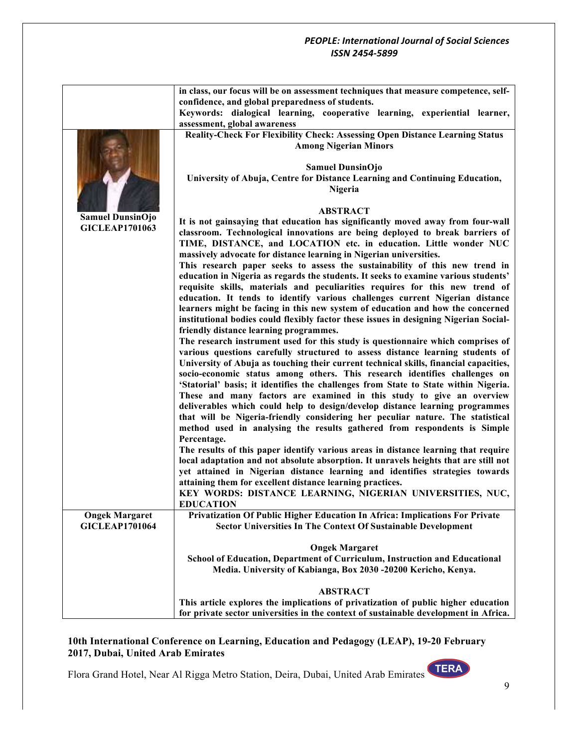|                       | in class, our focus will be on assessment techniques that measure competence, self-                                       |
|-----------------------|---------------------------------------------------------------------------------------------------------------------------|
|                       | confidence, and global preparedness of students.                                                                          |
|                       | Keywords: dialogical learning, cooperative learning, experiential learner,<br>assessment, global awareness                |
|                       |                                                                                                                           |
|                       | Reality-Check For Flexibility Check: Assessing Open Distance Learning Status<br><b>Among Nigerian Minors</b>              |
|                       |                                                                                                                           |
|                       | <b>Samuel DunsinOjo</b>                                                                                                   |
|                       | University of Abuja, Centre for Distance Learning and Continuing Education,                                               |
|                       | Nigeria                                                                                                                   |
|                       |                                                                                                                           |
|                       | <b>ABSTRACT</b>                                                                                                           |
| Samuel DunsinOjo      | It is not gainsaying that education has significantly moved away from four-wall                                           |
| <b>GICLEAP1701063</b> | classroom. Technological innovations are being deployed to break barriers of                                              |
|                       | TIME, DISTANCE, and LOCATION etc. in education. Little wonder NUC                                                         |
|                       | massively advocate for distance learning in Nigerian universities.                                                        |
|                       | This research paper seeks to assess the sustainability of this new trend in                                               |
|                       | education in Nigeria as regards the students. It seeks to examine various students'                                       |
|                       | requisite skills, materials and peculiarities requires for this new trend of                                              |
|                       | education. It tends to identify various challenges current Nigerian distance                                              |
|                       | learners might be facing in this new system of education and how the concerned                                            |
|                       | institutional bodies could flexibly factor these issues in designing Nigerian Social-                                     |
|                       | friendly distance learning programmes.<br>The research instrument used for this study is questionnaire which comprises of |
|                       | various questions carefully structured to assess distance learning students of                                            |
|                       | University of Abuja as touching their current technical skills, financial capacities,                                     |
|                       | socio-economic status among others. This research identifies challenges on                                                |
|                       | 'Statorial' basis; it identifies the challenges from State to State within Nigeria.                                       |
|                       | These and many factors are examined in this study to give an overview                                                     |
|                       | deliverables which could help to design/develop distance learning programmes                                              |
|                       | that will be Nigeria-friendly considering her peculiar nature. The statistical                                            |
|                       | method used in analysing the results gathered from respondents is Simple                                                  |
|                       | Percentage.                                                                                                               |
|                       | The results of this paper identify various areas in distance learning that require                                        |
|                       | local adaptation and not absolute absorption. It unravels heights that are still not                                      |
|                       | yet attained in Nigerian distance learning and identifies strategies towards                                              |
|                       | attaining them for excellent distance learning practices.                                                                 |
|                       | KEY WORDS: DISTANCE LEARNING, NIGERIAN UNIVERSITIES, NUC,<br><b>EDUCATION</b>                                             |
| <b>Ongek Margaret</b> | Privatization Of Public Higher Education In Africa: Implications For Private                                              |
| <b>GICLEAP1701064</b> | <b>Sector Universities In The Context Of Sustainable Development</b>                                                      |
|                       |                                                                                                                           |
|                       | <b>Ongek Margaret</b>                                                                                                     |
|                       | School of Education, Department of Curriculum, Instruction and Educational                                                |
|                       | Media. University of Kabianga, Box 2030 -20200 Kericho, Kenya.                                                            |
|                       | <b>ABSTRACT</b>                                                                                                           |
|                       | This article explores the implications of privatization of public higher education                                        |
|                       | for private sector universities in the context of sustainable development in Africa.                                      |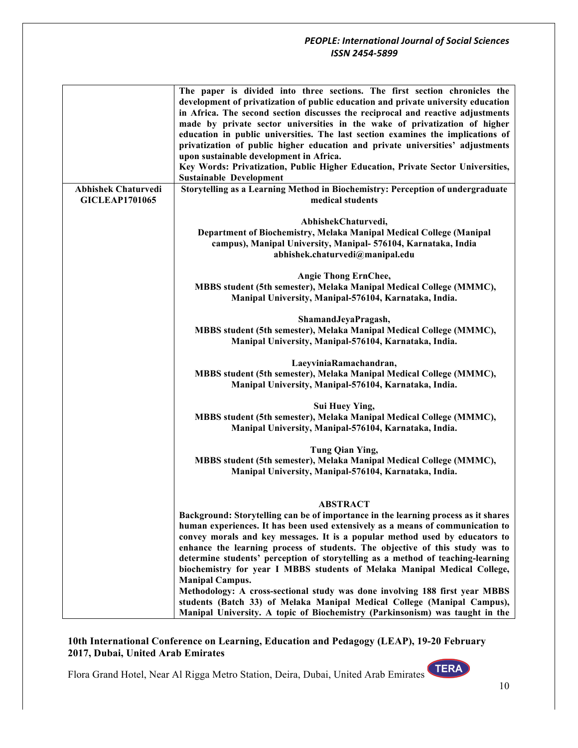|                                                     | The paper is divided into three sections. The first section chronicles the<br>development of privatization of public education and private university education<br>in Africa. The second section discusses the reciprocal and reactive adjustments<br>made by private sector universities in the wake of privatization of higher<br>education in public universities. The last section examines the implications of<br>privatization of public higher education and private universities' adjustments<br>upon sustainable development in Africa.<br>Key Words: Privatization, Public Higher Education, Private Sector Universities,<br><b>Sustainable Development</b> |
|-----------------------------------------------------|-----------------------------------------------------------------------------------------------------------------------------------------------------------------------------------------------------------------------------------------------------------------------------------------------------------------------------------------------------------------------------------------------------------------------------------------------------------------------------------------------------------------------------------------------------------------------------------------------------------------------------------------------------------------------|
| <b>Abhishek Chaturvedi</b><br><b>GICLEAP1701065</b> | Storytelling as a Learning Method in Biochemistry: Perception of undergraduate<br>medical students                                                                                                                                                                                                                                                                                                                                                                                                                                                                                                                                                                    |
|                                                     | AbhishekChaturvedi,<br>Department of Biochemistry, Melaka Manipal Medical College (Manipal<br>campus), Manipal University, Manipal- 576104, Karnataka, India<br>abhishek.chaturvedi@manipal.edu                                                                                                                                                                                                                                                                                                                                                                                                                                                                       |
|                                                     | <b>Angie Thong ErnChee,</b><br>MBBS student (5th semester), Melaka Manipal Medical College (MMMC),<br>Manipal University, Manipal-576104, Karnataka, India.                                                                                                                                                                                                                                                                                                                                                                                                                                                                                                           |
|                                                     | ShamandJeyaPragash,<br>MBBS student (5th semester), Melaka Manipal Medical College (MMMC),<br>Manipal University, Manipal-576104, Karnataka, India.                                                                                                                                                                                                                                                                                                                                                                                                                                                                                                                   |
|                                                     | LaeyviniaRamachandran,<br>MBBS student (5th semester), Melaka Manipal Medical College (MMMC),<br>Manipal University, Manipal-576104, Karnataka, India.                                                                                                                                                                                                                                                                                                                                                                                                                                                                                                                |
|                                                     | Sui Huey Ying,<br>MBBS student (5th semester), Melaka Manipal Medical College (MMMC),<br>Manipal University, Manipal-576104, Karnataka, India.                                                                                                                                                                                                                                                                                                                                                                                                                                                                                                                        |
|                                                     | Tung Qian Ying,<br>MBBS student (5th semester), Melaka Manipal Medical College (MMMC),<br>Manipal University, Manipal-576104, Karnataka, India.                                                                                                                                                                                                                                                                                                                                                                                                                                                                                                                       |
|                                                     | <b>ABSTRACT</b><br>Background: Storytelling can be of importance in the learning process as it shares<br>human experiences. It has been used extensively as a means of communication to<br>convey morals and key messages. It is a popular method used by educators to<br>enhance the learning process of students. The objective of this study was to<br>determine students' perception of storytelling as a method of teaching-learning<br>biochemistry for year I MBBS students of Melaka Manipal Medical College,<br><b>Manipal Campus.</b><br>Methodology: A cross-sectional study was done involving 188 first year MBBS                                        |
|                                                     | students (Batch 33) of Melaka Manipal Medical College (Manipal Campus),<br>Manipal University. A topic of Biochemistry (Parkinsonism) was taught in the                                                                                                                                                                                                                                                                                                                                                                                                                                                                                                               |

## **10th International Conference on Learning, Education and Pedagogy (LEAP), 19-20 February 2017, Dubai, United Arab Emirates**

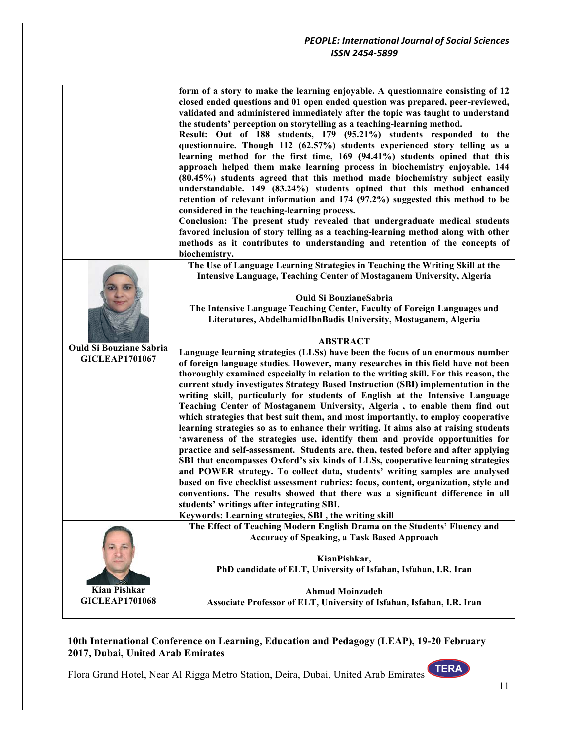|                                                         | form of a story to make the learning enjoyable. A questionnaire consisting of 12<br>closed ended questions and 01 open ended question was prepared, peer-reviewed,<br>validated and administered immediately after the topic was taught to understand<br>the students' perception on storytelling as a teaching-learning method.<br>Result: Out of 188 students, 179 (95.21%) students responded to the<br>questionnaire. Though 112 (62.57%) students experienced story telling as a<br>learning method for the first time, 169 (94.41%) students opined that this<br>approach helped them make learning process in biochemistry enjoyable. 144<br>(80.45%) students agreed that this method made biochemistry subject easily<br>understandable. 149 (83.24%) students opined that this method enhanced<br>retention of relevant information and $174$ (97.2%) suggested this method to be<br>considered in the teaching-learning process.<br>Conclusion: The present study revealed that undergraduate medical students<br>favored inclusion of story telling as a teaching-learning method along with other<br>methods as it contributes to understanding and retention of the concepts of<br>biochemistry.                                                                                                                           |
|---------------------------------------------------------|------------------------------------------------------------------------------------------------------------------------------------------------------------------------------------------------------------------------------------------------------------------------------------------------------------------------------------------------------------------------------------------------------------------------------------------------------------------------------------------------------------------------------------------------------------------------------------------------------------------------------------------------------------------------------------------------------------------------------------------------------------------------------------------------------------------------------------------------------------------------------------------------------------------------------------------------------------------------------------------------------------------------------------------------------------------------------------------------------------------------------------------------------------------------------------------------------------------------------------------------------------------------------------------------------------------------------------------|
| <b>Ould Si Bouziane Sabria</b><br><b>GICLEAP1701067</b> | The Use of Language Learning Strategies in Teaching the Writing Skill at the<br><b>Intensive Language, Teaching Center of Mostaganem University, Algeria</b><br><b>Ould Si BouzianeSabria</b><br>The Intensive Language Teaching Center, Faculty of Foreign Languages and<br>Literatures, AbdelhamidIbnBadis University, Mostaganem, Algeria                                                                                                                                                                                                                                                                                                                                                                                                                                                                                                                                                                                                                                                                                                                                                                                                                                                                                                                                                                                             |
|                                                         | <b>ABSTRACT</b><br>Language learning strategies (LLSs) have been the focus of an enormous number<br>of foreign language studies. However, many researches in this field have not been<br>thoroughly examined especially in relation to the writing skill. For this reason, the<br>current study investigates Strategy Based Instruction (SBI) implementation in the<br>writing skill, particularly for students of English at the Intensive Language<br>Teaching Center of Mostaganem University, Algeria, to enable them find out<br>which strategies that best suit them, and most importantly, to employ cooperative<br>learning strategies so as to enhance their writing. It aims also at raising students<br>'awareness of the strategies use, identify them and provide opportunities for<br>practice and self-assessment. Students are, then, tested before and after applying<br>SBI that encompasses Oxford's six kinds of LLSs, cooperative learning strategies<br>and POWER strategy. To collect data, students' writing samples are analysed<br>based on five checklist assessment rubrics: focus, content, organization, style and<br>conventions. The results showed that there was a significant difference in all<br>students' writings after integrating SBI.<br>Keywords: Learning strategies, SBI, the writing skill |
| <b>Kian Pishkar</b><br><b>GICLEAP1701068</b>            | The Effect of Teaching Modern English Drama on the Students' Fluency and<br><b>Accuracy of Speaking, a Task Based Approach</b><br>KianPishkar,<br>PhD candidate of ELT, University of Isfahan, Isfahan, I.R. Iran<br><b>Ahmad Moinzadeh</b><br>Associate Professor of ELT, University of Isfahan, Isfahan, I.R. Iran                                                                                                                                                                                                                                                                                                                                                                                                                                                                                                                                                                                                                                                                                                                                                                                                                                                                                                                                                                                                                     |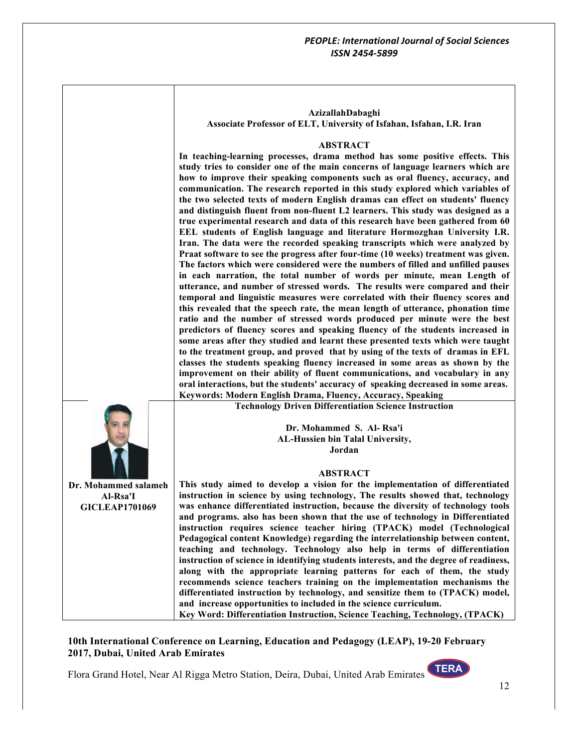|                       | AzizallahDabaghi                                                                                                                                                    |
|-----------------------|---------------------------------------------------------------------------------------------------------------------------------------------------------------------|
|                       | Associate Professor of ELT, University of Isfahan, Isfahan, I.R. Iran                                                                                               |
|                       |                                                                                                                                                                     |
|                       | <b>ABSTRACT</b>                                                                                                                                                     |
|                       | In teaching-learning processes, drama method has some positive effects. This                                                                                        |
|                       | study tries to consider one of the main concerns of language learners which are                                                                                     |
|                       | how to improve their speaking components such as oral fluency, accuracy, and<br>communication. The research reported in this study explored which variables of      |
|                       | the two selected texts of modern English dramas can effect on students' fluency                                                                                     |
|                       | and distinguish fluent from non-fluent L2 learners. This study was designed as a                                                                                    |
|                       | true experimental research and data of this research have been gathered from 60                                                                                     |
|                       | EEL students of English language and literature Hormozghan University I.R.                                                                                          |
|                       | Iran. The data were the recorded speaking transcripts which were analyzed by                                                                                        |
|                       | Praat software to see the progress after four-time (10 weeks) treatment was given.                                                                                  |
|                       | The factors which were considered were the numbers of filled and unfilled pauses<br>in each narration, the total number of words per minute, mean Length of         |
|                       | utterance, and number of stressed words. The results were compared and their                                                                                        |
|                       | temporal and linguistic measures were correlated with their fluency scores and                                                                                      |
|                       | this revealed that the speech rate, the mean length of utterance, phonation time                                                                                    |
|                       | ratio and the number of stressed words produced per minute were the best                                                                                            |
|                       | predictors of fluency scores and speaking fluency of the students increased in                                                                                      |
|                       | some areas after they studied and learnt these presented texts which were taught                                                                                    |
|                       | to the treatment group, and proved that by using of the texts of dramas in EFL                                                                                      |
|                       | classes the students speaking fluency increased in some areas as shown by the<br>improvement on their ability of fluent communications, and vocabulary in any       |
|                       | oral interactions, but the students' accuracy of speaking decreased in some areas.                                                                                  |
|                       | Keywords: Modern English Drama, Fluency, Accuracy, Speaking                                                                                                         |
|                       | <b>Technology Driven Differentiation Science Instruction</b>                                                                                                        |
|                       |                                                                                                                                                                     |
|                       | Dr. Mohammed S. Al-Rsa'i                                                                                                                                            |
|                       | AL-Hussien bin Talal University,                                                                                                                                    |
|                       | Jordan                                                                                                                                                              |
|                       | <b>ABSTRACT</b>                                                                                                                                                     |
| Dr. Mohammed salameh  | This study aimed to develop a vision for the implementation of differentiated                                                                                       |
| Al-Rsa'I              | instruction in science by using technology, The results showed that, technology                                                                                     |
| <b>GICLEAP1701069</b> | was enhance differentiated instruction, because the diversity of technology tools                                                                                   |
|                       | and programs. also has been shown that the use of technology in Differentiated                                                                                      |
|                       | instruction requires science teacher hiring (TPACK) model (Technological                                                                                            |
|                       | Pedagogical content Knowledge) regarding the interrelationship between content,                                                                                     |
|                       | teaching and technology. Technology also help in terms of differentiation<br>instruction of science in identifying students interests, and the degree of readiness, |
|                       | along with the appropriate learning patterns for each of them, the study                                                                                            |
|                       | recommends science teachers training on the implementation mechanisms the                                                                                           |
|                       | differentiated instruction by technology, and sensitize them to (TPACK) model,                                                                                      |
|                       | and increase opportunities to included in the science curriculum.                                                                                                   |
|                       | Key Word: Differentiation Instruction, Science Teaching, Technology, (TPACK)                                                                                        |

 $\Gamma$ 

T

**10th International Conference on Learning, Education and Pedagogy (LEAP), 19-20 February 2017, Dubai, United Arab Emirates**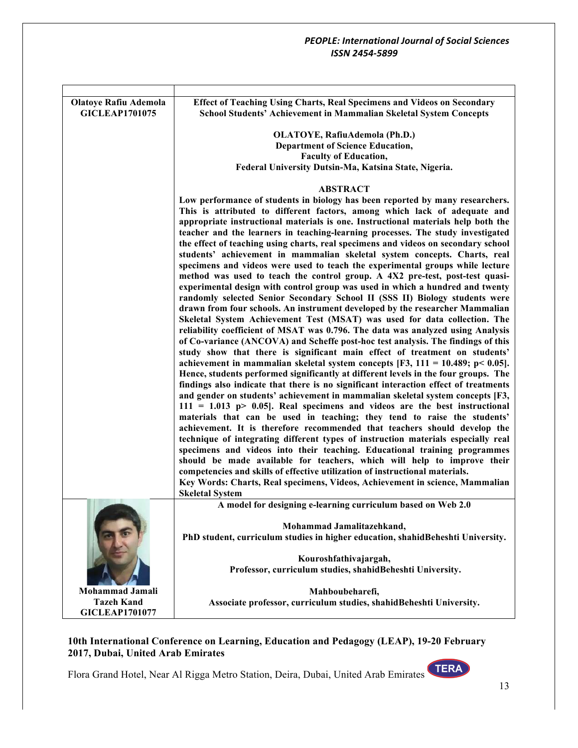| <b>Olatoye Rafiu Ademola</b><br><b>GICLEAP1701075</b>         | Effect of Teaching Using Charts, Real Specimens and Videos on Secondary<br>School Students' Achievement in Mammalian Skeletal System Concepts                                                                                                                                                                                                                                                                                                                                                                                                                                                                                                                                                                                                                                                                                                                                                                                                                                                                                                                                                                                                                                                                                                                                                                                                                                                                                                                                                                                                                                                                                                                                                                                                                                                                                                                                                                                                                                                                                                                                                                                                                                                                                                                                                                  |
|---------------------------------------------------------------|----------------------------------------------------------------------------------------------------------------------------------------------------------------------------------------------------------------------------------------------------------------------------------------------------------------------------------------------------------------------------------------------------------------------------------------------------------------------------------------------------------------------------------------------------------------------------------------------------------------------------------------------------------------------------------------------------------------------------------------------------------------------------------------------------------------------------------------------------------------------------------------------------------------------------------------------------------------------------------------------------------------------------------------------------------------------------------------------------------------------------------------------------------------------------------------------------------------------------------------------------------------------------------------------------------------------------------------------------------------------------------------------------------------------------------------------------------------------------------------------------------------------------------------------------------------------------------------------------------------------------------------------------------------------------------------------------------------------------------------------------------------------------------------------------------------------------------------------------------------------------------------------------------------------------------------------------------------------------------------------------------------------------------------------------------------------------------------------------------------------------------------------------------------------------------------------------------------------------------------------------------------------------------------------------------------|
|                                                               | OLATOYE, RafiuAdemola (Ph.D.)<br><b>Department of Science Education,</b><br><b>Faculty of Education,</b><br>Federal University Dutsin-Ma, Katsina State, Nigeria.                                                                                                                                                                                                                                                                                                                                                                                                                                                                                                                                                                                                                                                                                                                                                                                                                                                                                                                                                                                                                                                                                                                                                                                                                                                                                                                                                                                                                                                                                                                                                                                                                                                                                                                                                                                                                                                                                                                                                                                                                                                                                                                                              |
|                                                               | <b>ABSTRACT</b><br>Low performance of students in biology has been reported by many researchers.<br>This is attributed to different factors, among which lack of adequate and<br>appropriate instructional materials is one. Instructional materials help both the<br>teacher and the learners in teaching-learning processes. The study investigated<br>the effect of teaching using charts, real specimens and videos on secondary school<br>students' achievement in mammalian skeletal system concepts. Charts, real<br>specimens and videos were used to teach the experimental groups while lecture<br>method was used to teach the control group. A 4X2 pre-test, post-test quasi-<br>experimental design with control group was used in which a hundred and twenty<br>randomly selected Senior Secondary School II (SSS II) Biology students were<br>drawn from four schools. An instrument developed by the researcher Mammalian<br>Skeletal System Achievement Test (MSAT) was used for data collection. The<br>reliability coefficient of MSAT was 0.796. The data was analyzed using Analysis<br>of Co-variance (ANCOVA) and Scheffe post-hoc test analysis. The findings of this<br>study show that there is significant main effect of treatment on students'<br>achievement in mammalian skeletal system concepts [F3, 111 = 10.489; p< 0.05].<br>Hence, students performed significantly at different levels in the four groups. The<br>findings also indicate that there is no significant interaction effect of treatments<br>and gender on students' achievement in mammalian skeletal system concepts [F3,<br>$111 = 1.013$ p> 0.05]. Real specimens and videos are the best instructional<br>materials that can be used in teaching; they tend to raise the students'<br>achievement. It is therefore recommended that teachers should develop the<br>technique of integrating different types of instruction materials especially real<br>specimens and videos into their teaching. Educational training programmes<br>should be made available for teachers, which will help to improve their<br>competencies and skills of effective utilization of instructional materials.<br>Key Words: Charts, Real specimens, Videos, Achievement in science, Mammalian<br><b>Skeletal System</b> |
|                                                               | A model for designing e-learning curriculum based on Web 2.0<br>Mohammad Jamalitazehkand,<br>PhD student, curriculum studies in higher education, shahidBeheshti University.                                                                                                                                                                                                                                                                                                                                                                                                                                                                                                                                                                                                                                                                                                                                                                                                                                                                                                                                                                                                                                                                                                                                                                                                                                                                                                                                                                                                                                                                                                                                                                                                                                                                                                                                                                                                                                                                                                                                                                                                                                                                                                                                   |
|                                                               | Kouroshfathivajargah,<br>Professor, curriculum studies, shahidBeheshti University.                                                                                                                                                                                                                                                                                                                                                                                                                                                                                                                                                                                                                                                                                                                                                                                                                                                                                                                                                                                                                                                                                                                                                                                                                                                                                                                                                                                                                                                                                                                                                                                                                                                                                                                                                                                                                                                                                                                                                                                                                                                                                                                                                                                                                             |
| Mohammad Jamali<br><b>Tazeh Kand</b><br><b>GICLEAP1701077</b> | Mahboubeharefi,<br>Associate professor, curriculum studies, shahidBeheshti University.                                                                                                                                                                                                                                                                                                                                                                                                                                                                                                                                                                                                                                                                                                                                                                                                                                                                                                                                                                                                                                                                                                                                                                                                                                                                                                                                                                                                                                                                                                                                                                                                                                                                                                                                                                                                                                                                                                                                                                                                                                                                                                                                                                                                                         |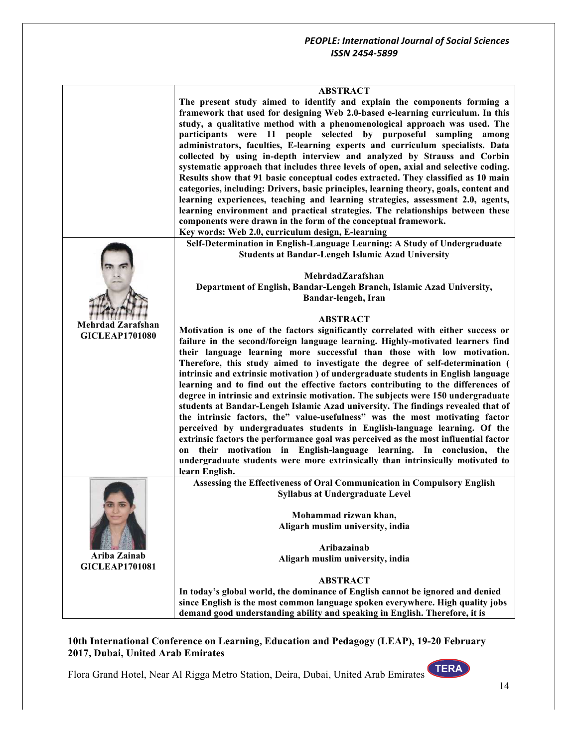|                          | <b>ABSTRACT</b><br>The present study aimed to identify and explain the components forming a<br>framework that used for designing Web 2.0-based e-learning curriculum. In this<br>study, a qualitative method with a phenomenological approach was used. The<br>participants were 11 people selected by purposeful sampling among<br>administrators, faculties, E-learning experts and curriculum specialists. Data<br>collected by using in-depth interview and analyzed by Strauss and Corbin<br>systematic approach that includes three levels of open, axial and selective coding.<br>Results show that 91 basic conceptual codes extracted. They classified as 10 main<br>categories, including: Drivers, basic principles, learning theory, goals, content and<br>learning experiences, teaching and learning strategies, assessment 2.0, agents,<br>learning environment and practical strategies. The relationships between these<br>components were drawn in the form of the conceptual framework.<br>Key words: Web 2.0, curriculum design, E-learning   |
|--------------------------|-------------------------------------------------------------------------------------------------------------------------------------------------------------------------------------------------------------------------------------------------------------------------------------------------------------------------------------------------------------------------------------------------------------------------------------------------------------------------------------------------------------------------------------------------------------------------------------------------------------------------------------------------------------------------------------------------------------------------------------------------------------------------------------------------------------------------------------------------------------------------------------------------------------------------------------------------------------------------------------------------------------------------------------------------------------------|
|                          | Self-Determination in English-Language Learning: A Study of Undergraduate                                                                                                                                                                                                                                                                                                                                                                                                                                                                                                                                                                                                                                                                                                                                                                                                                                                                                                                                                                                         |
|                          | <b>Students at Bandar-Lengeh Islamic Azad University</b>                                                                                                                                                                                                                                                                                                                                                                                                                                                                                                                                                                                                                                                                                                                                                                                                                                                                                                                                                                                                          |
|                          |                                                                                                                                                                                                                                                                                                                                                                                                                                                                                                                                                                                                                                                                                                                                                                                                                                                                                                                                                                                                                                                                   |
|                          | MehrdadZarafshan                                                                                                                                                                                                                                                                                                                                                                                                                                                                                                                                                                                                                                                                                                                                                                                                                                                                                                                                                                                                                                                  |
|                          | Department of English, Bandar-Lengeh Branch, Islamic Azad University,                                                                                                                                                                                                                                                                                                                                                                                                                                                                                                                                                                                                                                                                                                                                                                                                                                                                                                                                                                                             |
|                          | Bandar-lengeh, Iran                                                                                                                                                                                                                                                                                                                                                                                                                                                                                                                                                                                                                                                                                                                                                                                                                                                                                                                                                                                                                                               |
|                          | <b>ABSTRACT</b>                                                                                                                                                                                                                                                                                                                                                                                                                                                                                                                                                                                                                                                                                                                                                                                                                                                                                                                                                                                                                                                   |
| <b>Mehrdad Zarafshan</b> | Motivation is one of the factors significantly correlated with either success or                                                                                                                                                                                                                                                                                                                                                                                                                                                                                                                                                                                                                                                                                                                                                                                                                                                                                                                                                                                  |
| <b>GICLEAP1701080</b>    | failure in the second/foreign language learning. Highly-motivated learners find                                                                                                                                                                                                                                                                                                                                                                                                                                                                                                                                                                                                                                                                                                                                                                                                                                                                                                                                                                                   |
|                          | their language learning more successful than those with low motivation.<br>Therefore, this study aimed to investigate the degree of self-determination (<br>intrinsic and extrinsic motivation ) of undergraduate students in English language<br>learning and to find out the effective factors contributing to the differences of<br>degree in intrinsic and extrinsic motivation. The subjects were 150 undergraduate<br>students at Bandar-Lengeh Islamic Azad university. The findings revealed that of<br>the intrinsic factors, the" value-usefulness" was the most motivating factor<br>perceived by undergraduates students in English-language learning. Of the<br>extrinsic factors the performance goal was perceived as the most influential factor<br>on their motivation in English-language learning. In conclusion, the<br>undergraduate students were more extrinsically than intrinsically motivated to<br>learn English.<br>Assessing the Effectiveness of Oral Communication in Compulsory English<br><b>Syllabus at Undergraduate Level</b> |
|                          |                                                                                                                                                                                                                                                                                                                                                                                                                                                                                                                                                                                                                                                                                                                                                                                                                                                                                                                                                                                                                                                                   |
|                          | Mohammad rizwan khan,                                                                                                                                                                                                                                                                                                                                                                                                                                                                                                                                                                                                                                                                                                                                                                                                                                                                                                                                                                                                                                             |
|                          | Aligarh muslim university, india                                                                                                                                                                                                                                                                                                                                                                                                                                                                                                                                                                                                                                                                                                                                                                                                                                                                                                                                                                                                                                  |
|                          |                                                                                                                                                                                                                                                                                                                                                                                                                                                                                                                                                                                                                                                                                                                                                                                                                                                                                                                                                                                                                                                                   |
| Ariba Zainab             | Aribazainab                                                                                                                                                                                                                                                                                                                                                                                                                                                                                                                                                                                                                                                                                                                                                                                                                                                                                                                                                                                                                                                       |
| <b>GICLEAP1701081</b>    | Aligarh muslim university, india                                                                                                                                                                                                                                                                                                                                                                                                                                                                                                                                                                                                                                                                                                                                                                                                                                                                                                                                                                                                                                  |
|                          | <b>ABSTRACT</b>                                                                                                                                                                                                                                                                                                                                                                                                                                                                                                                                                                                                                                                                                                                                                                                                                                                                                                                                                                                                                                                   |
|                          | In today's global world, the dominance of English cannot be ignored and denied                                                                                                                                                                                                                                                                                                                                                                                                                                                                                                                                                                                                                                                                                                                                                                                                                                                                                                                                                                                    |
|                          | since English is the most common language spoken everywhere. High quality jobs                                                                                                                                                                                                                                                                                                                                                                                                                                                                                                                                                                                                                                                                                                                                                                                                                                                                                                                                                                                    |
|                          | demand good understanding ability and speaking in English. Therefore, it is                                                                                                                                                                                                                                                                                                                                                                                                                                                                                                                                                                                                                                                                                                                                                                                                                                                                                                                                                                                       |
|                          |                                                                                                                                                                                                                                                                                                                                                                                                                                                                                                                                                                                                                                                                                                                                                                                                                                                                                                                                                                                                                                                                   |

## **10th International Conference on Learning, Education and Pedagogy (LEAP), 19-20 February 2017, Dubai, United Arab Emirates**

Flora Grand Hotel, Near Al Rigga Metro Station, Deira, Dubai, United Arab Emirates

14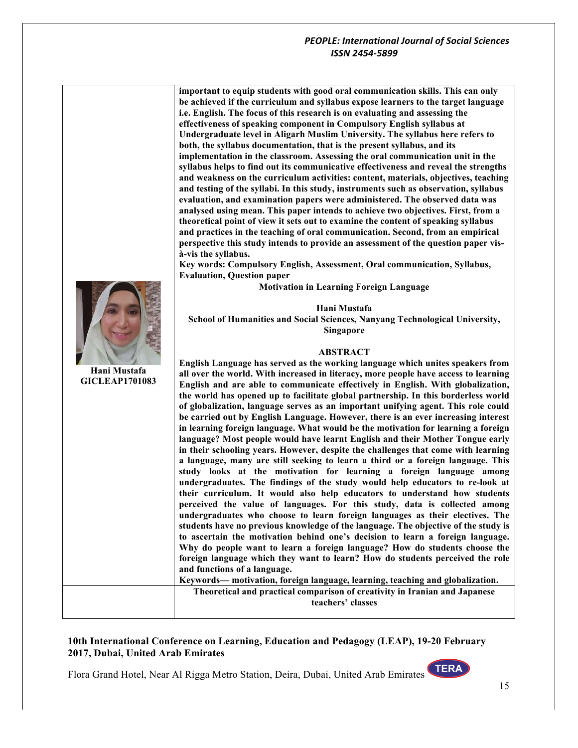|                       | important to equip students with good oral communication skills. This can only                    |
|-----------------------|---------------------------------------------------------------------------------------------------|
|                       | be achieved if the curriculum and syllabus expose learners to the target language                 |
|                       | i.e. English. The focus of this research is on evaluating and assessing the                       |
|                       | effectiveness of speaking component in Compulsory English syllabus at                             |
|                       | Undergraduate level in Aligarh Muslim University. The syllabus here refers to                     |
|                       | both, the syllabus documentation, that is the present syllabus, and its                           |
|                       | implementation in the classroom. Assessing the oral communication unit in the                     |
|                       | syllabus helps to find out its communicative effectiveness and reveal the strengths               |
|                       | and weakness on the curriculum activities: content, materials, objectives, teaching               |
|                       | and testing of the syllabi. In this study, instruments such as observation, syllabus              |
|                       | evaluation, and examination papers were administered. The observed data was                       |
|                       | analysed using mean. This paper intends to achieve two objectives. First, from a                  |
|                       | theoretical point of view it sets out to examine the content of speaking syllabus                 |
|                       | and practices in the teaching of oral communication. Second, from an empirical                    |
|                       | perspective this study intends to provide an assessment of the question paper vis-                |
|                       | à-vis the syllabus.                                                                               |
|                       | Key words: Compulsory English, Assessment, Oral communication, Syllabus,                          |
|                       | <b>Evaluation, Question paper</b>                                                                 |
|                       | <b>Motivation in Learning Foreign Language</b>                                                    |
|                       |                                                                                                   |
|                       | Hani Mustafa                                                                                      |
|                       | School of Humanities and Social Sciences, Nanyang Technological University,                       |
|                       | <b>Singapore</b>                                                                                  |
|                       |                                                                                                   |
|                       | <b>ABSTRACT</b><br>English Language has served as the working language which unites speakers from |
| Hani Mustafa          | all over the world. With increased in literacy, more people have access to learning               |
| <b>GICLEAP1701083</b> | English and are able to communicate effectively in English. With globalization,                   |
|                       | the world has opened up to facilitate global partnership. In this borderless world                |
|                       | of globalization, language serves as an important unifying agent. This role could                 |
|                       | be carried out by English Language. However, there is an ever increasing interest                 |
|                       | in learning foreign language. What would be the motivation for learning a foreign                 |
|                       | language? Most people would have learnt English and their Mother Tongue early                     |
|                       | in their schooling years. However, despite the challenges that come with learning                 |
|                       | a language, many are still seeking to learn a third or a foreign language. This                   |
|                       | study looks at the motivation for learning a foreign language among                               |
|                       | undergraduates. The findings of the study would help educators to re-look at                      |
|                       | their curriculum. It would also help educators to understand how students                         |
|                       | perceived the value of languages. For this study, data is collected among                         |
|                       | undergraduates who choose to learn foreign languages as their electives. The                      |
|                       | students have no previous knowledge of the language. The objective of the study is                |
|                       | to ascertain the motivation behind one's decision to learn a foreign language.                    |
|                       | Why do people want to learn a foreign language? How do students choose the                        |
|                       | foreign language which they want to learn? How do students perceived the role                     |
|                       | and functions of a language.                                                                      |
|                       | Keywords-motivation, foreign language, learning, teaching and globalization.                      |
|                       | Theoretical and practical comparison of creativity in Iranian and Japanese                        |
|                       | teachers' classes                                                                                 |
|                       |                                                                                                   |

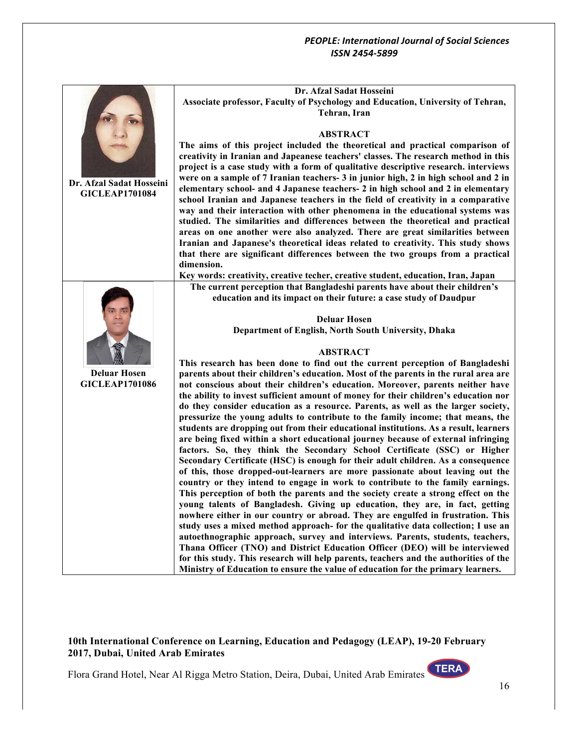|                          | Dr. Afzal Sadat Hosseini                                                                                                                                                  |
|--------------------------|---------------------------------------------------------------------------------------------------------------------------------------------------------------------------|
|                          | Associate professor, Faculty of Psychology and Education, University of Tehran,                                                                                           |
|                          | Tehran, Iran                                                                                                                                                              |
|                          | <b>ABSTRACT</b>                                                                                                                                                           |
|                          | The aims of this project included the theoretical and practical comparison of                                                                                             |
|                          | creativity in Iranian and Japeanese teachers' classes. The research method in this                                                                                        |
|                          | project is a case study with a form of qualitative descriptive research. interviews                                                                                       |
| Dr. Afzal Sadat Hosseini | were on a sample of 7 Iranian teachers- 3 in junior high, 2 in high school and 2 in                                                                                       |
| <b>GICLEAP1701084</b>    | elementary school- and 4 Japanese teachers- 2 in high school and 2 in elementary                                                                                          |
|                          | school Iranian and Japanese teachers in the field of creativity in a comparative                                                                                          |
|                          | way and their interaction with other phenomena in the educational systems was<br>studied. The similarities and differences between the theoretical and practical          |
|                          | areas on one another were also analyzed. There are great similarities between                                                                                             |
|                          | Iranian and Japanese's theoretical ideas related to creativity. This study shows                                                                                          |
|                          | that there are significant differences between the two groups from a practical                                                                                            |
|                          | dimension.                                                                                                                                                                |
|                          | Key words: creativity, creative techer, creative student, education, Iran, Japan                                                                                          |
|                          | The current perception that Bangladeshi parents have about their children's<br>education and its impact on their future: a case study of Daudpur                          |
|                          |                                                                                                                                                                           |
|                          | <b>Deluar Hosen</b>                                                                                                                                                       |
|                          | Department of English, North South University, Dhaka                                                                                                                      |
|                          |                                                                                                                                                                           |
|                          | <b>ABSTRACT</b><br>This research has been done to find out the current perception of Bangladeshi                                                                          |
| <b>Deluar Hosen</b>      | parents about their children's education. Most of the parents in the rural area are                                                                                       |
| <b>GICLEAP1701086</b>    | not conscious about their children's education. Moreover, parents neither have                                                                                            |
|                          | the ability to invest sufficient amount of money for their children's education nor                                                                                       |
|                          | do they consider education as a resource. Parents, as well as the larger society,                                                                                         |
|                          | pressurize the young adults to contribute to the family income; that means, the                                                                                           |
|                          | students are dropping out from their educational institutions. As a result, learners<br>are being fixed within a short educational journey because of external infringing |
|                          | factors. So, they think the Secondary School Certificate (SSC) or Higher                                                                                                  |
|                          | Secondary Certificate (HSC) is enough for their adult children. As a consequence                                                                                          |
|                          | of this, those dropped-out-learners are more passionate about leaving out the                                                                                             |
|                          | country or they intend to engage in work to contribute to the family earnings.                                                                                            |
|                          | This perception of both the parents and the society create a strong effect on the                                                                                         |
|                          | young talents of Bangladesh. Giving up education, they are, in fact, getting<br>nowhere either in our country or abroad. They are engulfed in frustration. This           |
|                          | study uses a mixed method approach- for the qualitative data collection; I use an                                                                                         |
|                          | autoethnographic approach, survey and interviews. Parents, students, teachers,                                                                                            |
|                          | Thana Officer (TNO) and District Education Officer (DEO) will be interviewed                                                                                              |
|                          | for this study. This research will help parents, teachers and the authorities of the                                                                                      |
|                          | Ministry of Education to ensure the value of education for the primary learners.                                                                                          |

## **10th International Conference on Learning, Education and Pedagogy (LEAP), 19-20 February 2017, Dubai, United Arab Emirates**

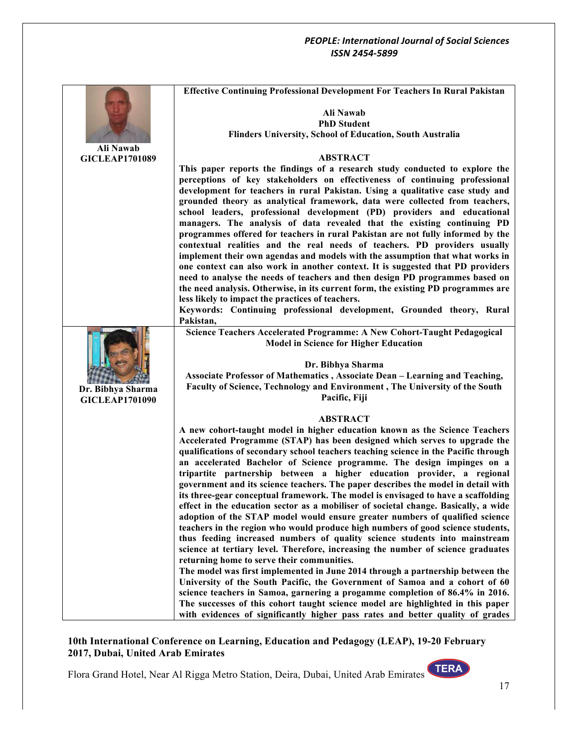|                                    | <b>Effective Continuing Professional Development For Teachers In Rural Pakistan</b>                                                                                 |
|------------------------------------|---------------------------------------------------------------------------------------------------------------------------------------------------------------------|
|                                    | Ali Nawab                                                                                                                                                           |
|                                    | <b>PhD Student</b>                                                                                                                                                  |
|                                    | Flinders University, School of Education, South Australia                                                                                                           |
| Ali Nawab<br><b>GICLEAP1701089</b> | <b>ABSTRACT</b>                                                                                                                                                     |
|                                    | This paper reports the findings of a research study conducted to explore the                                                                                        |
|                                    | perceptions of key stakeholders on effectiveness of continuing professional                                                                                         |
|                                    | development for teachers in rural Pakistan. Using a qualitative case study and                                                                                      |
|                                    | grounded theory as analytical framework, data were collected from teachers,                                                                                         |
|                                    | school leaders, professional development (PD) providers and educational                                                                                             |
|                                    | managers. The analysis of data revealed that the existing continuing PD                                                                                             |
|                                    | programmes offered for teachers in rural Pakistan are not fully informed by the<br>contextual realities and the real needs of teachers. PD providers usually        |
|                                    | implement their own agendas and models with the assumption that what works in                                                                                       |
|                                    | one context can also work in another context. It is suggested that PD providers                                                                                     |
|                                    | need to analyse the needs of teachers and then design PD programmes based on                                                                                        |
|                                    | the need analysis. Otherwise, in its current form, the existing PD programmes are                                                                                   |
|                                    | less likely to impact the practices of teachers.                                                                                                                    |
|                                    | Keywords: Continuing professional development, Grounded theory, Rural<br>Pakistan,                                                                                  |
|                                    | Science Teachers Accelerated Programme: A New Cohort-Taught Pedagogical<br><b>Model in Science for Higher Education</b>                                             |
|                                    |                                                                                                                                                                     |
|                                    | Dr. Bibhya Sharma                                                                                                                                                   |
|                                    | Associate Professor of Mathematics, Associate Dean - Learning and Teaching,                                                                                         |
| Dr. Bibhya Sharma                  | Faculty of Science, Technology and Environment, The University of the South                                                                                         |
| <b>GICLEAP1701090</b>              | Pacific, Fiji                                                                                                                                                       |
|                                    | <b>ABSTRACT</b>                                                                                                                                                     |
|                                    | A new cohort-taught model in higher education known as the Science Teachers                                                                                         |
|                                    | Accelerated Programme (STAP) has been designed which serves to upgrade the<br>qualifications of secondary school teachers teaching science in the Pacific through   |
|                                    | an accelerated Bachelor of Science programme. The design impinges on a                                                                                              |
|                                    | tripartite partnership between a higher education provider, a regional                                                                                              |
|                                    | government and its science teachers. The paper describes the model in detail with                                                                                   |
|                                    | its three-gear conceptual framework. The model is envisaged to have a scaffolding                                                                                   |
|                                    | effect in the education sector as a mobiliser of societal change. Basically, a wide<br>adoption of the STAP model would ensure greater numbers of qualified science |
|                                    | teachers in the region who would produce high numbers of good science students,                                                                                     |
|                                    | thus feeding increased numbers of quality science students into mainstream                                                                                          |
|                                    | science at tertiary level. Therefore, increasing the number of science graduates                                                                                    |
|                                    | returning home to serve their communities.                                                                                                                          |
|                                    | The model was first implemented in June 2014 through a partnership between the                                                                                      |
|                                    | University of the South Pacific, the Government of Samoa and a cohort of 60<br>science teachers in Samoa, garnering a progamme completion of 86.4% in 2016.         |
|                                    | The successes of this cohort taught science model are highlighted in this paper                                                                                     |
|                                    | with evidences of significantly higher pass rates and better quality of grades                                                                                      |

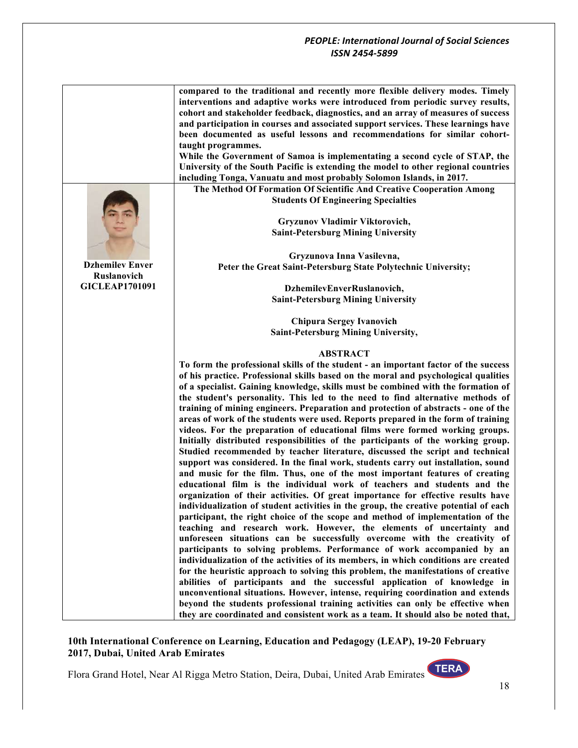**compared to the traditional and recently more flexible delivery modes. Timely interventions and adaptive works were introduced from periodic survey results, cohort and stakeholder feedback, diagnostics, and an array of measures of success and participation in courses and associated support services. These learnings have been documented as useful lessons and recommendations for similar cohorttaught programmes.**

**While the Government of Samoa is implementating a second cycle of STAP, the University of the South Pacific is extending the model to other regional countries including Tonga, Vanuatu and most probably Solomon Islands, in 2017.**

**The Method Of Formation Of Scientific And Creative Cooperation Among Students Of Engineering Specialties**

> **Gryzunov Vladimir Viktorovich, Saint-Petersburg Mining University**

**Gryzunova Inna Vasilevna, Peter the Great Saint-Petersburg State Polytechnic University;**

> **DzhemilevEnverRuslanovich, Saint-Petersburg Mining University**

> **Chipura Sergey Ivanovich Saint-Petersburg Mining University,**

#### **ABSTRACT**

**Тo form the professional skills of the student - an important factor of the success of his practice. Professional skills based on the moral and psychological qualities of a specialist. Gaining knowledge, skills must be combined with the formation of the student's personality. This led to the need to find alternative methods of training of mining engineers. Preparation and protection of abstracts - one of the areas of work of the students were used. Reports prepared in the form of training videos. For the preparation of educational films were formed working groups. Initially distributed responsibilities of the participants of the working group. Studied recommended by teacher literature, discussed the script and technical support was considered. In the final work, students carry out installation, sound and music for the film. Thus, one of the most important features of creating educational film is the individual work of teachers and students and the organization of their activities. Of great importance for effective results have individualization of student activities in the group, the creative potential of each participant, the right choice of the scope and method of implementation of the teaching and research work. However, the elements of uncertainty and unforeseen situations can be successfully overcome with the creativity of participants to solving problems. Performance of work accompanied by an individualization of the activities of its members, in which conditions are created for the heuristic approach to solving this problem, the manifestations of creative abilities of participants and the successful application of knowledge in unconventional situations. However, intense, requiring coordination and extends beyond the students professional training activities can only be effective when they are coordinated and consistent work as a team. It should also be noted that,** 

#### **10th International Conference on Learning, Education and Pedagogy (LEAP), 19-20 February 2017, Dubai, United Arab Emirates**

Flora Grand Hotel, Near Al Rigga Metro Station, Deira, Dubai, United Arab Emirates

**Dzhemilev Enver Ruslanovich GICLEAP1701091**

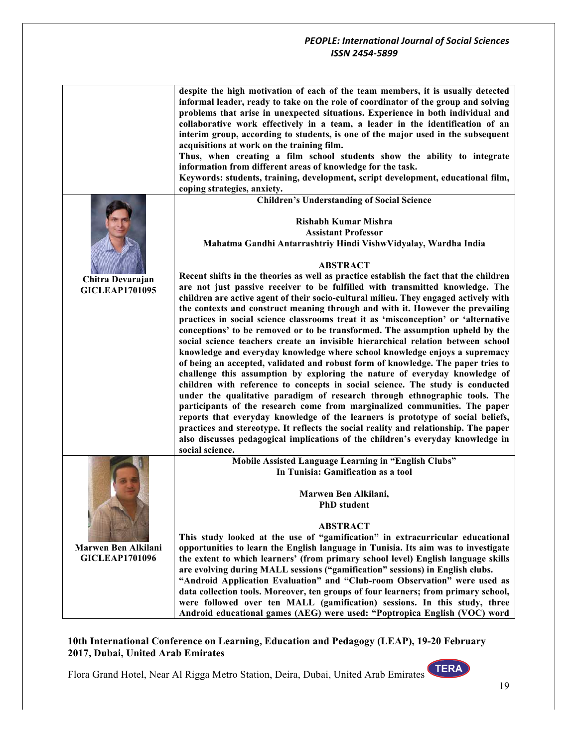|                            | despite the high motivation of each of the team members, it is usually detected<br>informal leader, ready to take on the role of coordinator of the group and solving<br>problems that arise in unexpected situations. Experience in both individual and<br>collaborative work effectively in a team, a leader in the identification of an<br>interim group, according to students, is one of the major used in the subsequent<br>acquisitions at work on the training film.<br>Thus, when creating a film school students show the ability to integrate<br>information from different areas of knowledge for the task.<br>Keywords: students, training, development, script development, educational film,<br>coping strategies, anxiety.                                                                                                                                                                                                                                                                                                                                                                                                                                                                      |
|----------------------------|-----------------------------------------------------------------------------------------------------------------------------------------------------------------------------------------------------------------------------------------------------------------------------------------------------------------------------------------------------------------------------------------------------------------------------------------------------------------------------------------------------------------------------------------------------------------------------------------------------------------------------------------------------------------------------------------------------------------------------------------------------------------------------------------------------------------------------------------------------------------------------------------------------------------------------------------------------------------------------------------------------------------------------------------------------------------------------------------------------------------------------------------------------------------------------------------------------------------|
|                            | <b>Children's Understanding of Social Science</b>                                                                                                                                                                                                                                                                                                                                                                                                                                                                                                                                                                                                                                                                                                                                                                                                                                                                                                                                                                                                                                                                                                                                                               |
| Chitra Devarajan           | <b>Rishabh Kumar Mishra</b><br><b>Assistant Professor</b><br>Mahatma Gandhi Antarrashtriy Hindi VishwVidyalay, Wardha India<br><b>ABSTRACT</b><br>Recent shifts in the theories as well as practice establish the fact that the children<br>are not just passive receiver to be fulfilled with transmitted knowledge. The                                                                                                                                                                                                                                                                                                                                                                                                                                                                                                                                                                                                                                                                                                                                                                                                                                                                                       |
| <b>GICLEAP1701095</b>      | children are active agent of their socio-cultural milieu. They engaged actively with<br>the contexts and construct meaning through and with it. However the prevailing<br>practices in social science classrooms treat it as 'misconception' or 'alternative<br>conceptions' to be removed or to be transformed. The assumption upheld by the<br>social science teachers create an invisible hierarchical relation between school<br>knowledge and everyday knowledge where school knowledge enjoys a supremacy<br>of being an accepted, validated and robust form of knowledge. The paper tries to<br>challenge this assumption by exploring the nature of everyday knowledge of<br>children with reference to concepts in social science. The study is conducted<br>under the qualitative paradigm of research through ethnographic tools. The<br>participants of the research come from marginalized communities. The paper<br>reports that everyday knowledge of the learners is prototype of social beliefs,<br>practices and stereotype. It reflects the social reality and relationship. The paper<br>also discusses pedagogical implications of the children's everyday knowledge in<br>social science. |
|                            | Mobile Assisted Language Learning in "English Clubs"                                                                                                                                                                                                                                                                                                                                                                                                                                                                                                                                                                                                                                                                                                                                                                                                                                                                                                                                                                                                                                                                                                                                                            |
|                            | In Tunisia: Gamification as a tool<br>Marwen Ben Alkilani,<br><b>PhD</b> student                                                                                                                                                                                                                                                                                                                                                                                                                                                                                                                                                                                                                                                                                                                                                                                                                                                                                                                                                                                                                                                                                                                                |
|                            | <b>ABSTRACT</b>                                                                                                                                                                                                                                                                                                                                                                                                                                                                                                                                                                                                                                                                                                                                                                                                                                                                                                                                                                                                                                                                                                                                                                                                 |
|                            | This study looked at the use of "gamification" in extracurricular educational                                                                                                                                                                                                                                                                                                                                                                                                                                                                                                                                                                                                                                                                                                                                                                                                                                                                                                                                                                                                                                                                                                                                   |
| <b>Marwen Ben Alkilani</b> | opportunities to learn the English language in Tunisia. Its aim was to investigate                                                                                                                                                                                                                                                                                                                                                                                                                                                                                                                                                                                                                                                                                                                                                                                                                                                                                                                                                                                                                                                                                                                              |
| <b>GICLEAP1701096</b>      | the extent to which learners' (from primary school level) English language skills<br>are evolving during MALL sessions ("gamification" sessions) in English clubs.                                                                                                                                                                                                                                                                                                                                                                                                                                                                                                                                                                                                                                                                                                                                                                                                                                                                                                                                                                                                                                              |
|                            | "Android Application Evaluation" and "Club-room Observation" were used as                                                                                                                                                                                                                                                                                                                                                                                                                                                                                                                                                                                                                                                                                                                                                                                                                                                                                                                                                                                                                                                                                                                                       |
|                            | data collection tools. Moreover, ten groups of four learners; from primary school,                                                                                                                                                                                                                                                                                                                                                                                                                                                                                                                                                                                                                                                                                                                                                                                                                                                                                                                                                                                                                                                                                                                              |
|                            | were followed over ten MALL (gamification) sessions. In this study, three                                                                                                                                                                                                                                                                                                                                                                                                                                                                                                                                                                                                                                                                                                                                                                                                                                                                                                                                                                                                                                                                                                                                       |
|                            | Android educational games (AEG) were used: "Poptropica English (VOC) word                                                                                                                                                                                                                                                                                                                                                                                                                                                                                                                                                                                                                                                                                                                                                                                                                                                                                                                                                                                                                                                                                                                                       |

## **10th International Conference on Learning, Education and Pedagogy (LEAP), 19-20 February 2017, Dubai, United Arab Emirates**

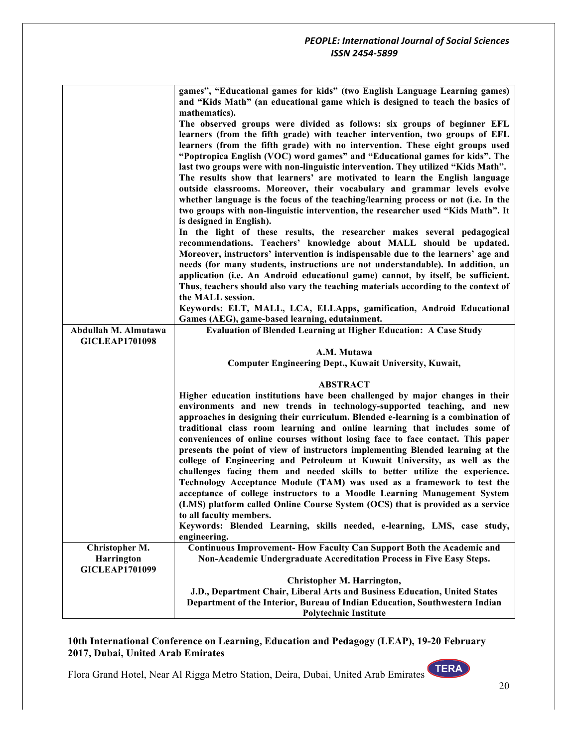|                       | games", "Educational games for kids" (two English Language Learning games)<br>and "Kids Math" (an educational game which is designed to teach the basics of |
|-----------------------|-------------------------------------------------------------------------------------------------------------------------------------------------------------|
|                       | mathematics).                                                                                                                                               |
|                       | The observed groups were divided as follows: six groups of beginner EFL                                                                                     |
|                       | learners (from the fifth grade) with teacher intervention, two groups of EFL                                                                                |
|                       | learners (from the fifth grade) with no intervention. These eight groups used                                                                               |
|                       | "Poptropica English (VOC) word games" and "Educational games for kids". The                                                                                 |
|                       | last two groups were with non-linguistic intervention. They utilized "Kids Math".                                                                           |
|                       | The results show that learners' are motivated to learn the English language                                                                                 |
|                       | outside classrooms. Moreover, their vocabulary and grammar levels evolve                                                                                    |
|                       | whether language is the focus of the teaching/learning process or not (i.e. In the                                                                          |
|                       | two groups with non-linguistic intervention, the researcher used "Kids Math". It                                                                            |
|                       | is designed in English).                                                                                                                                    |
|                       | In the light of these results, the researcher makes several pedagogical                                                                                     |
|                       | recommendations. Teachers' knowledge about MALL should be updated.                                                                                          |
|                       | Moreover, instructors' intervention is indispensable due to the learners' age and                                                                           |
|                       | needs (for many students, instructions are not understandable). In addition, an                                                                             |
|                       | application (i.e. An Android educational game) cannot, by itself, be sufficient.                                                                            |
|                       | Thus, teachers should also vary the teaching materials according to the context of                                                                          |
|                       | the MALL session.                                                                                                                                           |
|                       | Keywords: ELT, MALL, LCA, ELLApps, gamification, Android Educational                                                                                        |
| Abdullah M. Almutawa  | Games (AEG), game-based learning, edutainment.<br><b>Evaluation of Blended Learning at Higher Education: A Case Study</b>                                   |
| <b>GICLEAP1701098</b> |                                                                                                                                                             |
|                       | A.M. Mutawa                                                                                                                                                 |
|                       | <b>Computer Engineering Dept., Kuwait University, Kuwait,</b>                                                                                               |
|                       |                                                                                                                                                             |
|                       | <b>ABSTRACT</b>                                                                                                                                             |
|                       | Higher education institutions have been challenged by major changes in their                                                                                |
|                       | environments and new trends in technology-supported teaching, and new                                                                                       |
|                       | approaches in designing their curriculum. Blended e-learning is a combination of                                                                            |
|                       | traditional class room learning and online learning that includes some of                                                                                   |
|                       | conveniences of online courses without losing face to face contact. This paper                                                                              |
|                       | presents the point of view of instructors implementing Blended learning at the                                                                              |
|                       | college of Engineering and Petroleum at Kuwait University, as well as the                                                                                   |
|                       | challenges facing them and needed skills to better utilize the experience.                                                                                  |
|                       | Technology Acceptance Module (TAM) was used as a framework to test the                                                                                      |
|                       | acceptance of college instructors to a Moodle Learning Management System                                                                                    |
|                       | (LMS) platform called Online Course System (OCS) that is provided as a service                                                                              |
|                       | to all faculty members.<br>Keywords: Blended Learning, skills needed, e-learning, LMS, case study,                                                          |
|                       | engineering.                                                                                                                                                |
| Christopher M.        | <b>Continuous Improvement-How Faculty Can Support Both the Academic and</b>                                                                                 |
| Harrington            | Non-Academic Undergraduate Accreditation Process in Five Easy Steps.                                                                                        |
| <b>GICLEAP1701099</b> |                                                                                                                                                             |
|                       | Christopher M. Harrington,                                                                                                                                  |
|                       | J.D., Department Chair, Liberal Arts and Business Education, United States                                                                                  |
|                       | Department of the Interior, Bureau of Indian Education, Southwestern Indian                                                                                 |
|                       | <b>Polytechnic Institute</b>                                                                                                                                |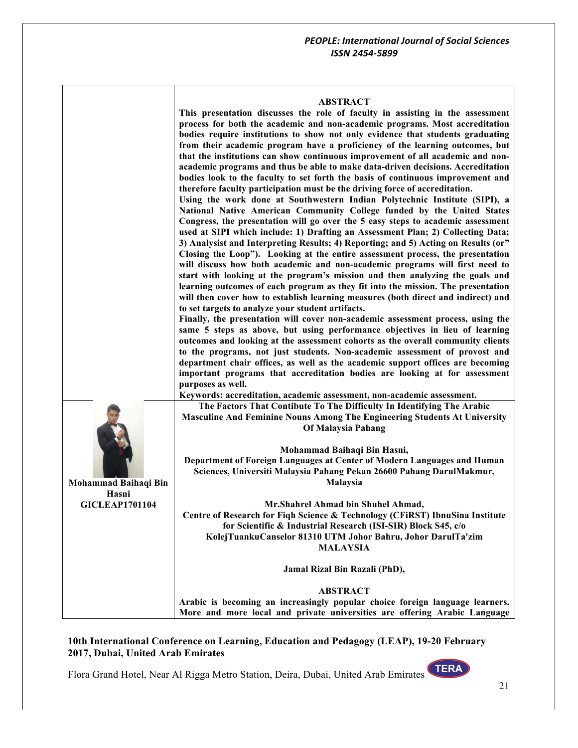| ABSTRACT |
|----------|
|----------|

|                                                        | This presentation discusses the role of faculty in assisting in the assessment<br>process for both the academic and non-academic programs. Most accreditation<br>bodies require institutions to show not only evidence that students graduating<br>from their academic program have a proficiency of the learning outcomes, but<br>that the institutions can show continuous improvement of all academic and non-<br>academic programs and thus be able to make data-driven decisions. Accreditation<br>bodies look to the faculty to set forth the basis of continuous improvement and<br>therefore faculty participation must be the driving force of accreditation.<br>Using the work done at Southwestern Indian Polytechnic Institute (SIPI), a<br>National Native American Community College funded by the United States<br>Congress, the presentation will go over the 5 easy steps to academic assessment<br>used at SIPI which include: 1) Drafting an Assessment Plan; 2) Collecting Data;<br>3) Analysist and Interpreting Results; 4) Reporting; and 5) Acting on Results (or"<br>Closing the Loop"). Looking at the entire assessment process, the presentation<br>will discuss how both academic and non-academic programs will first need to<br>start with looking at the program's mission and then analyzing the goals and<br>learning outcomes of each program as they fit into the mission. The presentation<br>will then cover how to establish learning measures (both direct and indirect) and<br>to set targets to analyze your student artifacts.<br>Finally, the presentation will cover non-academic assessment process, using the<br>same 5 steps as above, but using performance objectives in lieu of learning<br>outcomes and looking at the assessment cohorts as the overall community clients<br>to the programs, not just students. Non-academic assessment of provost and<br>department chair offices, as well as the academic support offices are becoming<br>important programs that accreditation bodies are looking at for assessment<br>purposes as well. |
|--------------------------------------------------------|---------------------------------------------------------------------------------------------------------------------------------------------------------------------------------------------------------------------------------------------------------------------------------------------------------------------------------------------------------------------------------------------------------------------------------------------------------------------------------------------------------------------------------------------------------------------------------------------------------------------------------------------------------------------------------------------------------------------------------------------------------------------------------------------------------------------------------------------------------------------------------------------------------------------------------------------------------------------------------------------------------------------------------------------------------------------------------------------------------------------------------------------------------------------------------------------------------------------------------------------------------------------------------------------------------------------------------------------------------------------------------------------------------------------------------------------------------------------------------------------------------------------------------------------------------------------------------------------------------------------------------------------------------------------------------------------------------------------------------------------------------------------------------------------------------------------------------------------------------------------------------------------------------------------------------------------------------------------------------------------------------------------------------------------------------------------------------------------------|
|                                                        | Keywords: accreditation, academic assessment, non-academic assessment.<br>The Factors That Contibute To The Difficulty In Identifying The Arabic                                                                                                                                                                                                                                                                                                                                                                                                                                                                                                                                                                                                                                                                                                                                                                                                                                                                                                                                                                                                                                                                                                                                                                                                                                                                                                                                                                                                                                                                                                                                                                                                                                                                                                                                                                                                                                                                                                                                                  |
| Mohammad Baihaqi Bin<br>Hasni<br><b>GICLEAP1701104</b> | Masculine And Feminine Nouns Among The Engineering Students At University<br>Of Malaysia Pahang                                                                                                                                                                                                                                                                                                                                                                                                                                                                                                                                                                                                                                                                                                                                                                                                                                                                                                                                                                                                                                                                                                                                                                                                                                                                                                                                                                                                                                                                                                                                                                                                                                                                                                                                                                                                                                                                                                                                                                                                   |
|                                                        | Mohammad Baihaqi Bin Hasni,                                                                                                                                                                                                                                                                                                                                                                                                                                                                                                                                                                                                                                                                                                                                                                                                                                                                                                                                                                                                                                                                                                                                                                                                                                                                                                                                                                                                                                                                                                                                                                                                                                                                                                                                                                                                                                                                                                                                                                                                                                                                       |
|                                                        | Department of Foreign Languages at Center of Modern Languages and Human<br>Sciences, Universiti Malaysia Pahang Pekan 26600 Pahang DarulMakmur,<br>Malaysia                                                                                                                                                                                                                                                                                                                                                                                                                                                                                                                                                                                                                                                                                                                                                                                                                                                                                                                                                                                                                                                                                                                                                                                                                                                                                                                                                                                                                                                                                                                                                                                                                                                                                                                                                                                                                                                                                                                                       |
|                                                        | Mr.Shahrel Ahmad bin Shuhel Ahmad,<br>Centre of Research for Fiqh Science & Technology (CFiRST) IbnuSina Institute<br>for Scientific & Industrial Research (ISI-SIR) Block S45, c/o<br>KolejTuankuCanselor 81310 UTM Johor Bahru, Johor DarulTa'zim<br><b>MALAYSIA</b>                                                                                                                                                                                                                                                                                                                                                                                                                                                                                                                                                                                                                                                                                                                                                                                                                                                                                                                                                                                                                                                                                                                                                                                                                                                                                                                                                                                                                                                                                                                                                                                                                                                                                                                                                                                                                            |
|                                                        | Jamal Rizal Bin Razali (PhD),                                                                                                                                                                                                                                                                                                                                                                                                                                                                                                                                                                                                                                                                                                                                                                                                                                                                                                                                                                                                                                                                                                                                                                                                                                                                                                                                                                                                                                                                                                                                                                                                                                                                                                                                                                                                                                                                                                                                                                                                                                                                     |
|                                                        | <b>ABSTRACT</b><br>Arabic is becoming an increasingly popular choice foreign language learners.<br>More and more local and private universities are offering Arabic Language                                                                                                                                                                                                                                                                                                                                                                                                                                                                                                                                                                                                                                                                                                                                                                                                                                                                                                                                                                                                                                                                                                                                                                                                                                                                                                                                                                                                                                                                                                                                                                                                                                                                                                                                                                                                                                                                                                                      |

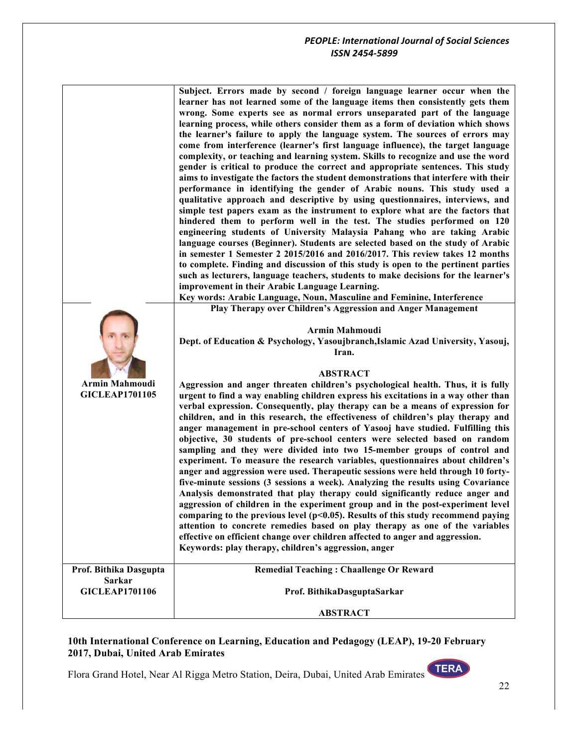|                                         | Subject. Errors made by second / foreign language learner occur when the<br>learner has not learned some of the language items then consistently gets them<br>wrong. Some experts see as normal errors unseparated part of the language<br>learning process, while others consider them as a form of deviation which shows<br>the learner's failure to apply the language system. The sources of errors may<br>come from interference (learner's first language influence), the target language<br>complexity, or teaching and learning system. Skills to recognize and use the word<br>gender is critical to produce the correct and appropriate sentences. This study<br>aims to investigate the factors the student demonstrations that interfere with their<br>performance in identifying the gender of Arabic nouns. This study used a<br>qualitative approach and descriptive by using questionnaires, interviews, and<br>simple test papers exam as the instrument to explore what are the factors that<br>hindered them to perform well in the test. The studies performed on 120<br>engineering students of University Malaysia Pahang who are taking Arabic<br>language courses (Beginner). Students are selected based on the study of Arabic<br>in semester 1 Semester 2 2015/2016 and 2016/2017. This review takes 12 months<br>to complete. Finding and discussion of this study is open to the pertinent parties<br>such as lecturers, language teachers, students to make decisions for the learner's<br>improvement in their Arabic Language Learning.<br>Key words: Arabic Language, Noun, Masculine and Feminine, Interference |
|-----------------------------------------|---------------------------------------------------------------------------------------------------------------------------------------------------------------------------------------------------------------------------------------------------------------------------------------------------------------------------------------------------------------------------------------------------------------------------------------------------------------------------------------------------------------------------------------------------------------------------------------------------------------------------------------------------------------------------------------------------------------------------------------------------------------------------------------------------------------------------------------------------------------------------------------------------------------------------------------------------------------------------------------------------------------------------------------------------------------------------------------------------------------------------------------------------------------------------------------------------------------------------------------------------------------------------------------------------------------------------------------------------------------------------------------------------------------------------------------------------------------------------------------------------------------------------------------------------------------------------------------------------------------------------------------------------|
|                                         | Play Therapy over Children's Aggression and Anger Management                                                                                                                                                                                                                                                                                                                                                                                                                                                                                                                                                                                                                                                                                                                                                                                                                                                                                                                                                                                                                                                                                                                                                                                                                                                                                                                                                                                                                                                                                                                                                                                      |
|                                         | Armin Mahmoudi<br>Dept. of Education & Psychology, Yasoujbranch, Islamic Azad University, Yasouj,<br>Iran.                                                                                                                                                                                                                                                                                                                                                                                                                                                                                                                                                                                                                                                                                                                                                                                                                                                                                                                                                                                                                                                                                                                                                                                                                                                                                                                                                                                                                                                                                                                                        |
| Armin Mahmoudi<br><b>GICLEAP1701105</b> | <b>ABSTRACT</b><br>Aggression and anger threaten children's psychological health. Thus, it is fully<br>urgent to find a way enabling children express his excitations in a way other than<br>verbal expression. Consequently, play therapy can be a means of expression for<br>children, and in this research, the effectiveness of children's play therapy and<br>anger management in pre-school centers of Yasooj have studied. Fulfilling this<br>objective, 30 students of pre-school centers were selected based on random<br>sampling and they were divided into two 15-member groups of control and<br>experiment. To measure the research variables, questionnaires about children's<br>anger and aggression were used. Therapeutic sessions were held through 10 forty-<br>five-minute sessions (3 sessions a week). Analyzing the results using Covariance<br>Analysis demonstrated that play therapy could significantly reduce anger and<br>aggression of children in the experiment group and in the post-experiment level<br>comparing to the previous level ( $p<0.05$ ). Results of this study recommend paying<br>attention to concrete remedies based on play therapy as one of the variables<br>effective on efficient change over children affected to anger and aggression.<br>Keywords: play therapy, children's aggression, anger                                                                                                                                                                                                                                                                                          |
| Prof. Bithika Dasgupta                  | <b>Remedial Teaching: Chaallenge Or Reward</b>                                                                                                                                                                                                                                                                                                                                                                                                                                                                                                                                                                                                                                                                                                                                                                                                                                                                                                                                                                                                                                                                                                                                                                                                                                                                                                                                                                                                                                                                                                                                                                                                    |
| <b>Sarkar</b><br><b>GICLEAP1701106</b>  | Prof. BithikaDasguptaSarkar                                                                                                                                                                                                                                                                                                                                                                                                                                                                                                                                                                                                                                                                                                                                                                                                                                                                                                                                                                                                                                                                                                                                                                                                                                                                                                                                                                                                                                                                                                                                                                                                                       |
|                                         | <b>ABSTRACT</b>                                                                                                                                                                                                                                                                                                                                                                                                                                                                                                                                                                                                                                                                                                                                                                                                                                                                                                                                                                                                                                                                                                                                                                                                                                                                                                                                                                                                                                                                                                                                                                                                                                   |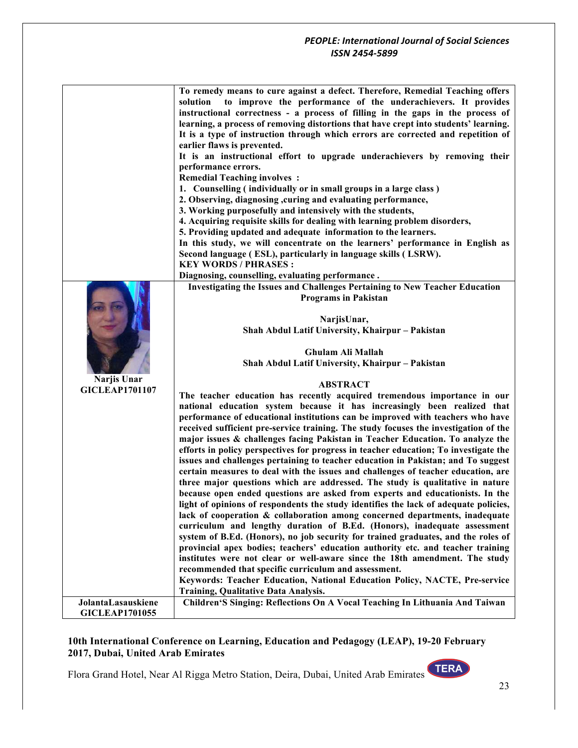|                       | To remedy means to cure against a defect. Therefore, Remedial Teaching offers        |
|-----------------------|--------------------------------------------------------------------------------------|
|                       | to improve the performance of the underachievers. It provides<br>solution            |
|                       | instructional correctness - a process of filling in the gaps in the process of       |
|                       | learning, a process of removing distortions that have crept into students' learning. |
|                       | It is a type of instruction through which errors are corrected and repetition of     |
|                       | earlier flaws is prevented.                                                          |
|                       | It is an instructional effort to upgrade underachievers by removing their            |
|                       | performance errors.                                                                  |
|                       | <b>Remedial Teaching involves:</b>                                                   |
|                       | 1. Counselling (individually or in small groups in a large class)                    |
|                       | 2. Observing, diagnosing, curing and evaluating performance,                         |
|                       | 3. Working purposefully and intensively with the students,                           |
|                       | 4. Acquiring requisite skills for dealing with learning problem disorders,           |
|                       | 5. Providing updated and adequate information to the learners.                       |
|                       | In this study, we will concentrate on the learners' performance in English as        |
|                       | Second language (ESL), particularly in language skills (LSRW).                       |
|                       | <b>KEY WORDS / PHRASES:</b>                                                          |
|                       | Diagnosing, counselling, evaluating performance.                                     |
|                       | <b>Investigating the Issues and Challenges Pertaining to New Teacher Education</b>   |
|                       | <b>Programs in Pakistan</b>                                                          |
|                       |                                                                                      |
|                       | NarjisUnar,                                                                          |
|                       | Shah Abdul Latif University, Khairpur - Pakistan                                     |
|                       |                                                                                      |
|                       | Ghulam Ali Mallah                                                                    |
|                       | Shah Abdul Latif University, Khairpur - Pakistan                                     |
| Narjis Unar           |                                                                                      |
| <b>GICLEAP1701107</b> | <b>ABSTRACT</b>                                                                      |
|                       | The teacher education has recently acquired tremendous importance in our             |
|                       | national education system because it has increasingly been realized that             |
|                       | performance of educational institutions can be improved with teachers who have       |
|                       | received sufficient pre-service training. The study focuses the investigation of the |
|                       | major issues & challenges facing Pakistan in Teacher Education. To analyze the       |
|                       | efforts in policy perspectives for progress in teacher education; To investigate the |
|                       | issues and challenges pertaining to teacher education in Pakistan; and To suggest    |
|                       | certain measures to deal with the issues and challenges of teacher education, are    |
|                       | three major questions which are addressed. The study is qualitative in nature        |
|                       | because open ended questions are asked from experts and educationists. In the        |
|                       | light of opinions of respondents the study identifies the lack of adequate policies, |
|                       | lack of cooperation & collaboration among concerned departments, inadequate          |
|                       | curriculum and lengthy duration of B.Ed. (Honors), inadequate assessment             |
|                       | system of B.Ed. (Honors), no job security for trained graduates, and the roles of    |
|                       | provincial apex bodies; teachers' education authority etc. and teacher training      |
|                       | institutes were not clear or well-aware since the 18th amendment. The study          |
|                       | recommended that specific curriculum and assessment.                                 |
|                       | Keywords: Teacher Education, National Education Policy, NACTE, Pre-service           |
|                       | <b>Training, Qualitative Data Analysis.</b>                                          |
| JolantaLasauskiene    | Children'S Singing: Reflections On A Vocal Teaching In Lithuania And Taiwan          |
| <b>GICLEAP1701055</b> |                                                                                      |

## **10th International Conference on Learning, Education and Pedagogy (LEAP), 19-20 February 2017, Dubai, United Arab Emirates**

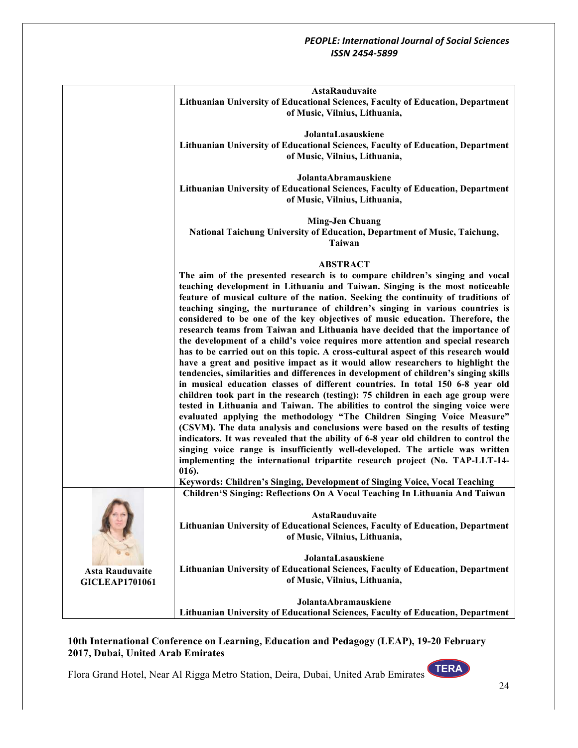|                                                 | <b>AstaRauduvaite</b><br>Lithuanian University of Educational Sciences, Faculty of Education, Department                                                                                                                                          |
|-------------------------------------------------|---------------------------------------------------------------------------------------------------------------------------------------------------------------------------------------------------------------------------------------------------|
|                                                 | of Music, Vilnius, Lithuania,                                                                                                                                                                                                                     |
|                                                 | JolantaLasauskiene                                                                                                                                                                                                                                |
|                                                 | Lithuanian University of Educational Sciences, Faculty of Education, Department<br>of Music, Vilnius, Lithuania,                                                                                                                                  |
|                                                 | JolantaAbramauskiene<br>Lithuanian University of Educational Sciences, Faculty of Education, Department                                                                                                                                           |
|                                                 | of Music, Vilnius, Lithuania,                                                                                                                                                                                                                     |
|                                                 | <b>Ming-Jen Chuang</b>                                                                                                                                                                                                                            |
|                                                 | National Taichung University of Education, Department of Music, Taichung,<br><b>Taiwan</b>                                                                                                                                                        |
|                                                 | <b>ABSTRACT</b>                                                                                                                                                                                                                                   |
|                                                 | The aim of the presented research is to compare children's singing and vocal<br>teaching development in Lithuania and Taiwan. Singing is the most noticeable<br>feature of musical culture of the nation. Seeking the continuity of traditions of |
|                                                 | teaching singing, the nurturance of children's singing in various countries is<br>considered to be one of the key objectives of music education. Therefore, the                                                                                   |
|                                                 | research teams from Taiwan and Lithuania have decided that the importance of<br>the development of a child's voice requires more attention and special research                                                                                   |
|                                                 | has to be carried out on this topic. A cross-cultural aspect of this research would<br>have a great and positive impact as it would allow researchers to highlight the                                                                            |
|                                                 | tendencies, similarities and differences in development of children's singing skills                                                                                                                                                              |
|                                                 | in musical education classes of different countries. In total 150 6-8 year old<br>children took part in the research (testing): 75 children in each age group were                                                                                |
|                                                 | tested in Lithuania and Taiwan. The abilities to control the singing voice were<br>evaluated applying the methodology "The Children Singing Voice Measure"                                                                                        |
|                                                 | (CSVM). The data analysis and conclusions were based on the results of testing<br>indicators. It was revealed that the ability of 6-8 year old children to control the                                                                            |
|                                                 | singing voice range is insufficiently well-developed. The article was written<br>implementing the international tripartite research project (No. TAP-LLT-14-                                                                                      |
|                                                 | 016).<br>Keywords: Children's Singing, Development of Singing Voice, Vocal Teaching                                                                                                                                                               |
|                                                 | Children'S Singing: Reflections On A Vocal Teaching In Lithuania And Taiwan                                                                                                                                                                       |
|                                                 | <b>AstaRauduvaite</b>                                                                                                                                                                                                                             |
|                                                 | Lithuanian University of Educational Sciences, Faculty of Education, Department<br>of Music, Vilnius, Lithuania,                                                                                                                                  |
|                                                 | JolantaLasauskiene                                                                                                                                                                                                                                |
| <b>Asta Rauduvaite</b><br><b>GICLEAP1701061</b> | Lithuanian University of Educational Sciences, Faculty of Education, Department<br>of Music, Vilnius, Lithuania,                                                                                                                                  |
|                                                 | JolantaAbramauskiene                                                                                                                                                                                                                              |
|                                                 | Lithuanian University of Educational Sciences, Faculty of Education, Department                                                                                                                                                                   |

## **10th International Conference on Learning, Education and Pedagogy (LEAP), 19-20 February 2017, Dubai, United Arab Emirates**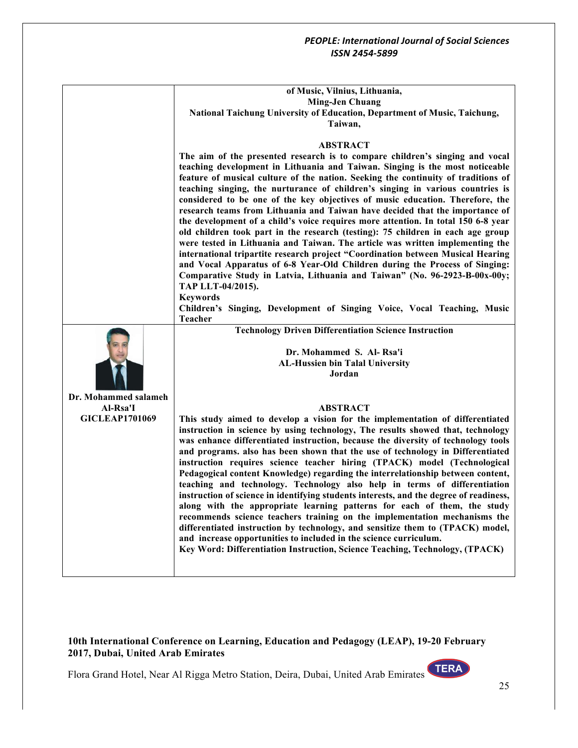|                       | of Music, Vilnius, Lithuania,                                                                                                                                       |
|-----------------------|---------------------------------------------------------------------------------------------------------------------------------------------------------------------|
|                       | <b>Ming-Jen Chuang</b>                                                                                                                                              |
|                       | National Taichung University of Education, Department of Music, Taichung,                                                                                           |
|                       | Taiwan,                                                                                                                                                             |
|                       | <b>ABSTRACT</b>                                                                                                                                                     |
|                       | The aim of the presented research is to compare children's singing and vocal                                                                                        |
|                       | teaching development in Lithuania and Taiwan. Singing is the most noticeable                                                                                        |
|                       | feature of musical culture of the nation. Seeking the continuity of traditions of                                                                                   |
|                       | teaching singing, the nurturance of children's singing in various countries is                                                                                      |
|                       | considered to be one of the key objectives of music education. Therefore, the                                                                                       |
|                       | research teams from Lithuania and Taiwan have decided that the importance of                                                                                        |
|                       | the development of a child's voice requires more attention. In total 150 6-8 year                                                                                   |
|                       | old children took part in the research (testing): 75 children in each age group                                                                                     |
|                       | were tested in Lithuania and Taiwan. The article was written implementing the                                                                                       |
|                       | international tripartite research project "Coordination between Musical Hearing<br>and Vocal Apparatus of 6-8 Year-Old Children during the Process of Singing:      |
|                       | Comparative Study in Latvia, Lithuania and Taiwan" (No. 96-2923-B-00x-00y;                                                                                          |
|                       | TAP LLT-04/2015).                                                                                                                                                   |
|                       | <b>Keywords</b>                                                                                                                                                     |
|                       | Children's Singing, Development of Singing Voice, Vocal Teaching, Music                                                                                             |
|                       | <b>Teacher</b>                                                                                                                                                      |
|                       |                                                                                                                                                                     |
|                       | <b>Technology Driven Differentiation Science Instruction</b>                                                                                                        |
|                       |                                                                                                                                                                     |
|                       | Dr. Mohammed S. Al-Rsa'i                                                                                                                                            |
|                       | <b>AL-Hussien bin Talal University</b>                                                                                                                              |
|                       | Jordan                                                                                                                                                              |
| Dr. Mohammed salameh  |                                                                                                                                                                     |
| Al-Rsa'I              | <b>ABSTRACT</b>                                                                                                                                                     |
| <b>GICLEAP1701069</b> | This study aimed to develop a vision for the implementation of differentiated                                                                                       |
|                       | instruction in science by using technology, The results showed that, technology                                                                                     |
|                       | was enhance differentiated instruction, because the diversity of technology tools                                                                                   |
|                       | and programs. also has been shown that the use of technology in Differentiated                                                                                      |
|                       | instruction requires science teacher hiring (TPACK) model (Technological                                                                                            |
|                       | Pedagogical content Knowledge) regarding the interrelationship between content,                                                                                     |
|                       | teaching and technology. Technology also help in terms of differentiation<br>instruction of science in identifying students interests, and the degree of readiness, |
|                       | along with the appropriate learning patterns for each of them, the study                                                                                            |
|                       | recommends science teachers training on the implementation mechanisms the                                                                                           |
|                       | differentiated instruction by technology, and sensitize them to (TPACK) model,                                                                                      |
|                       | and increase opportunities to included in the science curriculum.                                                                                                   |
|                       | Key Word: Differentiation Instruction, Science Teaching, Technology, (TPACK)                                                                                        |

#### **10th International Conference on Learning, Education and Pedagogy (LEAP), 19-20 February 2017, Dubai, United Arab Emirates**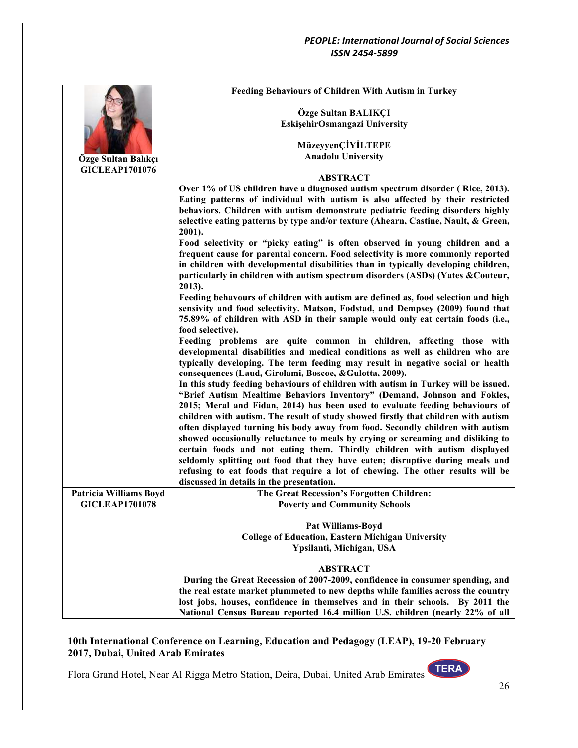|                               | <b>Feeding Behaviours of Children With Autism in Turkey</b>                                                                                                        |
|-------------------------------|--------------------------------------------------------------------------------------------------------------------------------------------------------------------|
|                               | Özge Sultan BALIKÇI                                                                                                                                                |
|                               | EskişehirOsmangazi University                                                                                                                                      |
|                               |                                                                                                                                                                    |
|                               | MüzeyyenÇİYİLTEPE                                                                                                                                                  |
| Özge Sultan Balıkçı           | <b>Anadolu University</b>                                                                                                                                          |
| <b>GICLEAP1701076</b>         | <b>ABSTRACT</b>                                                                                                                                                    |
|                               | Over 1% of US children have a diagnosed autism spectrum disorder (Rice, 2013).                                                                                     |
|                               | Eating patterns of individual with autism is also affected by their restricted                                                                                     |
|                               | behaviors. Children with autism demonstrate pediatric feeding disorders highly                                                                                     |
|                               | selective eating patterns by type and/or texture (Ahearn, Castine, Nault, & Green,                                                                                 |
|                               | 2001).                                                                                                                                                             |
|                               | Food selectivity or "picky eating" is often observed in young children and a<br>frequent cause for parental concern. Food selectivity is more commonly reported    |
|                               | in children with developmental disabilities than in typically developing children,                                                                                 |
|                               | particularly in children with autism spectrum disorders (ASDs) (Yates & Couteur,                                                                                   |
|                               | 2013).                                                                                                                                                             |
|                               | Feeding behavours of children with autism are defined as, food selection and high                                                                                  |
|                               | sensivity and food selectivity. Matson, Fodstad, and Dempsey (2009) found that                                                                                     |
|                               | 75.89% of children with ASD in their sample would only eat certain foods (i.e.,<br>food selective).                                                                |
|                               | Feeding problems are quite common in children, affecting those with                                                                                                |
|                               | developmental disabilities and medical conditions as well as children who are                                                                                      |
|                               | typically developing. The term feeding may result in negative social or health<br>consequences (Laud, Girolami, Boscoe, & Gulotta, 2009).                          |
|                               | In this study feeding behaviours of children with autism in Turkey will be issued.                                                                                 |
|                               | "Brief Autism Mealtime Behaviors Inventory" (Demand, Johnson and Fokles,                                                                                           |
|                               | 2015; Meral and Fidan, 2014) has been used to evaluate feeding behaviours of<br>children with autism. The result of study showed firstly that children with autism |
|                               | often displayed turning his body away from food. Secondly children with autism                                                                                     |
|                               | showed occasionally reluctance to meals by crying or screaming and disliking to                                                                                    |
|                               | certain foods and not eating them. Thirdly children with autism displayed                                                                                          |
|                               | seldomly splitting out food that they have eaten; disruptive during meals and                                                                                      |
|                               | refusing to eat foods that require a lot of chewing. The other results will be                                                                                     |
| <b>Patricia Williams Boyd</b> | discussed in details in the presentation.<br>The Great Recession's Forgotten Children:                                                                             |
| <b>GICLEAP1701078</b>         | <b>Poverty and Community Schools</b>                                                                                                                               |
|                               |                                                                                                                                                                    |
|                               | <b>Pat Williams-Boyd</b>                                                                                                                                           |
|                               | <b>College of Education, Eastern Michigan University</b>                                                                                                           |
|                               | Ypsilanti, Michigan, USA                                                                                                                                           |
|                               | <b>ABSTRACT</b>                                                                                                                                                    |
|                               | During the Great Recession of 2007-2009, confidence in consumer spending, and                                                                                      |
|                               | the real estate market plummeted to new depths while families across the country                                                                                   |
|                               | lost jobs, houses, confidence in themselves and in their schools. By 2011 the                                                                                      |
|                               | National Census Bureau reported 16.4 million U.S. children (nearly 22% of all                                                                                      |

## **10th International Conference on Learning, Education and Pedagogy (LEAP), 19-20 February 2017, Dubai, United Arab Emirates**

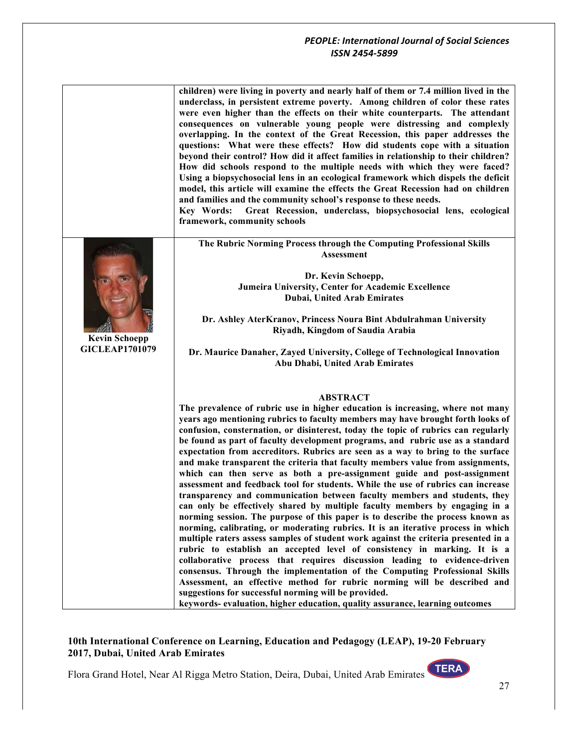|                                               | children) were living in poverty and nearly half of them or 7.4 million lived in the<br>underclass, in persistent extreme poverty. Among children of color these rates<br>were even higher than the effects on their white counterparts. The attendant<br>consequences on vulnerable young people were distressing and complexly<br>overlapping. In the context of the Great Recession, this paper addresses the<br>questions: What were these effects? How did students cope with a situation<br>beyond their control? How did it affect families in relationship to their children?<br>How did schools respond to the multiple needs with which they were faced?<br>Using a biopsychosocial lens in an ecological framework which dispels the deficit<br>model, this article will examine the effects the Great Recession had on children<br>and families and the community school's response to these needs.<br>Great Recession, underclass, biopsychosocial lens, ecological<br>Key Words:                                                                                                                                                                                                                                                                                                                                                                                                                                                                                                                                                                                      |
|-----------------------------------------------|-------------------------------------------------------------------------------------------------------------------------------------------------------------------------------------------------------------------------------------------------------------------------------------------------------------------------------------------------------------------------------------------------------------------------------------------------------------------------------------------------------------------------------------------------------------------------------------------------------------------------------------------------------------------------------------------------------------------------------------------------------------------------------------------------------------------------------------------------------------------------------------------------------------------------------------------------------------------------------------------------------------------------------------------------------------------------------------------------------------------------------------------------------------------------------------------------------------------------------------------------------------------------------------------------------------------------------------------------------------------------------------------------------------------------------------------------------------------------------------------------------------------------------------------------------------------------------------|
|                                               | framework, community schools                                                                                                                                                                                                                                                                                                                                                                                                                                                                                                                                                                                                                                                                                                                                                                                                                                                                                                                                                                                                                                                                                                                                                                                                                                                                                                                                                                                                                                                                                                                                                        |
|                                               | The Rubric Norming Process through the Computing Professional Skills<br>Assessment                                                                                                                                                                                                                                                                                                                                                                                                                                                                                                                                                                                                                                                                                                                                                                                                                                                                                                                                                                                                                                                                                                                                                                                                                                                                                                                                                                                                                                                                                                  |
| <b>Kevin Schoepp</b><br><b>GICLEAP1701079</b> | Dr. Kevin Schoepp,<br>Jumeira University, Center for Academic Excellence<br><b>Dubai, United Arab Emirates</b>                                                                                                                                                                                                                                                                                                                                                                                                                                                                                                                                                                                                                                                                                                                                                                                                                                                                                                                                                                                                                                                                                                                                                                                                                                                                                                                                                                                                                                                                      |
|                                               | Dr. Ashley AterKranov, Princess Noura Bint Abdulrahman University<br>Riyadh, Kingdom of Saudia Arabia                                                                                                                                                                                                                                                                                                                                                                                                                                                                                                                                                                                                                                                                                                                                                                                                                                                                                                                                                                                                                                                                                                                                                                                                                                                                                                                                                                                                                                                                               |
|                                               | Dr. Maurice Danaher, Zayed University, College of Technological Innovation<br>Abu Dhabi, United Arab Emirates                                                                                                                                                                                                                                                                                                                                                                                                                                                                                                                                                                                                                                                                                                                                                                                                                                                                                                                                                                                                                                                                                                                                                                                                                                                                                                                                                                                                                                                                       |
|                                               | <b>ABSTRACT</b><br>The prevalence of rubric use in higher education is increasing, where not many<br>years ago mentioning rubrics to faculty members may have brought forth looks of<br>confusion, consternation, or disinterest, today the topic of rubrics can regularly<br>be found as part of faculty development programs, and rubric use as a standard<br>expectation from accreditors. Rubrics are seen as a way to bring to the surface<br>and make transparent the criteria that faculty members value from assignments,<br>which can then serve as both a pre-assignment guide and post-assignment<br>assessment and feedback tool for students. While the use of rubrics can increase<br>transparency and communication between faculty members and students, they<br>can only be effectively shared by multiple faculty members by engaging in a<br>norming session. The purpose of this paper is to describe the process known as<br>norming, calibrating, or moderating rubrics. It is an iterative process in which<br>multiple raters assess samples of student work against the criteria presented in a<br>rubric to establish an accepted level of consistency in marking. It is a<br>collaborative process that requires discussion leading to evidence-driven<br>consensus. Through the implementation of the Computing Professional Skills<br>Assessment, an effective method for rubric norming will be described and<br>suggestions for successful norming will be provided.<br>keywords- evaluation, higher education, quality assurance, learning outcomes |

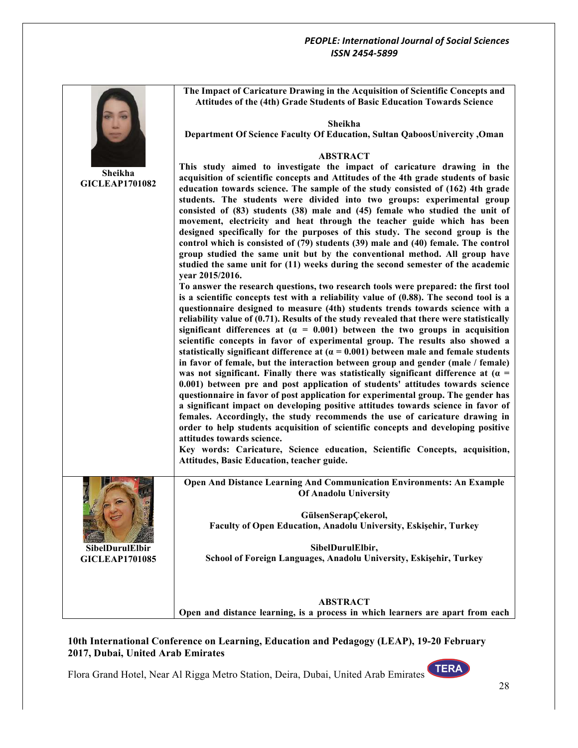|                                  | The Impact of Caricature Drawing in the Acquisition of Scientific Concepts and<br>Attitudes of the (4th) Grade Students of Basic Education Towards Science                                                                                                                                                                                                                                                                                                                                                                                                                                                                                                                                                          |
|----------------------------------|---------------------------------------------------------------------------------------------------------------------------------------------------------------------------------------------------------------------------------------------------------------------------------------------------------------------------------------------------------------------------------------------------------------------------------------------------------------------------------------------------------------------------------------------------------------------------------------------------------------------------------------------------------------------------------------------------------------------|
|                                  | Sheikha                                                                                                                                                                                                                                                                                                                                                                                                                                                                                                                                                                                                                                                                                                             |
|                                  | Department Of Science Faculty Of Education, Sultan QaboosUnivercity, Oman                                                                                                                                                                                                                                                                                                                                                                                                                                                                                                                                                                                                                                           |
|                                  | <b>ABSTRACT</b>                                                                                                                                                                                                                                                                                                                                                                                                                                                                                                                                                                                                                                                                                                     |
| Sheikha<br><b>GICLEAP1701082</b> | This study aimed to investigate the impact of caricature drawing in the<br>acquisition of scientific concepts and Attitudes of the 4th grade students of basic<br>education towards science. The sample of the study consisted of (162) 4th grade<br>students. The students were divided into two groups: experimental group                                                                                                                                                                                                                                                                                                                                                                                        |
|                                  | consisted of (83) students (38) male and (45) female who studied the unit of<br>movement, electricity and heat through the teacher guide which has been                                                                                                                                                                                                                                                                                                                                                                                                                                                                                                                                                             |
|                                  | designed specifically for the purposes of this study. The second group is the<br>control which is consisted of (79) students (39) male and (40) female. The control<br>group studied the same unit but by the conventional method. All group have<br>studied the same unit for (11) weeks during the second semester of the academic                                                                                                                                                                                                                                                                                                                                                                                |
|                                  | vear 2015/2016.                                                                                                                                                                                                                                                                                                                                                                                                                                                                                                                                                                                                                                                                                                     |
|                                  | To answer the research questions, two research tools were prepared: the first tool<br>is a scientific concepts test with a reliability value of $(0.88)$ . The second tool is a                                                                                                                                                                                                                                                                                                                                                                                                                                                                                                                                     |
|                                  | questionnaire designed to measure (4th) students trends towards science with a<br>reliability value of (0.71). Results of the study revealed that there were statistically<br>significant differences at $(a = 0.001)$ between the two groups in acquisition<br>scientific concepts in favor of experimental group. The results also showed a<br>statistically significant difference at ( $\alpha = 0.001$ ) between male and female students<br>in favor of female, but the interaction between group and gender (male / female)<br>was not significant. Finally there was statistically significant difference at ( $\alpha$ =<br>0.001) between pre and post application of students' attitudes towards science |
|                                  | questionnaire in favor of post application for experimental group. The gender has<br>a significant impact on developing positive attitudes towards science in favor of<br>females. Accordingly, the study recommends the use of caricature drawing in<br>order to help students acquisition of scientific concepts and developing positive<br>attitudes towards science.                                                                                                                                                                                                                                                                                                                                            |
|                                  | Key words: Caricature, Science education, Scientific Concepts, acquisition,                                                                                                                                                                                                                                                                                                                                                                                                                                                                                                                                                                                                                                         |
|                                  | Attitudes, Basic Education, teacher guide.                                                                                                                                                                                                                                                                                                                                                                                                                                                                                                                                                                                                                                                                          |
|                                  | Open And Distance Learning And Communication Environments: An Example<br><b>Of Anadolu University</b>                                                                                                                                                                                                                                                                                                                                                                                                                                                                                                                                                                                                               |
|                                  | GülsenSerapÇekerol,                                                                                                                                                                                                                                                                                                                                                                                                                                                                                                                                                                                                                                                                                                 |
|                                  | Faculty of Open Education, Anadolu University, Eskişehir, Turkey                                                                                                                                                                                                                                                                                                                                                                                                                                                                                                                                                                                                                                                    |
| SibelDurulElbir                  | SibelDurulElbir,                                                                                                                                                                                                                                                                                                                                                                                                                                                                                                                                                                                                                                                                                                    |
| <b>GICLEAP1701085</b>            | School of Foreign Languages, Anadolu University, Eskişehir, Turkey                                                                                                                                                                                                                                                                                                                                                                                                                                                                                                                                                                                                                                                  |
|                                  | <b>ABSTRACT</b>                                                                                                                                                                                                                                                                                                                                                                                                                                                                                                                                                                                                                                                                                                     |
|                                  | Open and distance learning, is a process in which learners are apart from each                                                                                                                                                                                                                                                                                                                                                                                                                                                                                                                                                                                                                                      |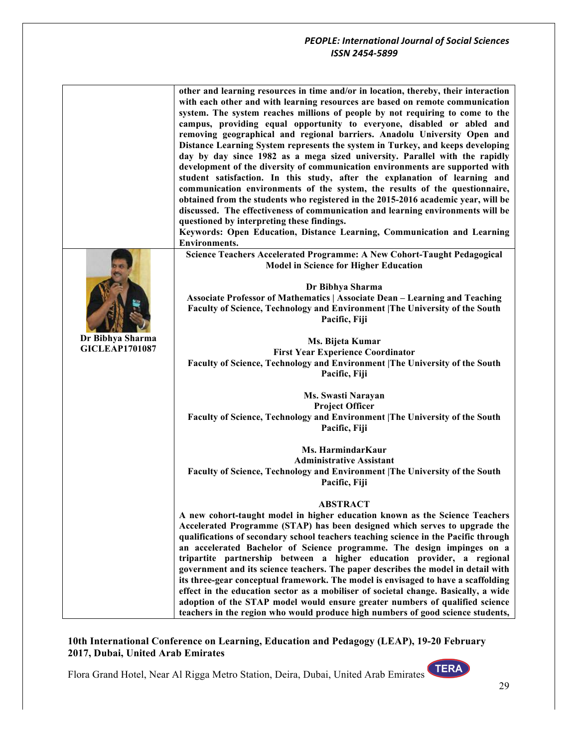|                       | other and learning resources in time and/or in location, thereby, their interaction<br>with each other and with learning resources are based on remote communication<br>system. The system reaches millions of people by not requiring to come to the<br>campus, providing equal opportunity to everyone, disabled or abled and<br>removing geographical and regional barriers. Anadolu University Open and<br>Distance Learning System represents the system in Turkey, and keeps developing<br>day by day since 1982 as a mega sized university. Parallel with the rapidly<br>development of the diversity of communication environments are supported with<br>student satisfaction. In this study, after the explanation of learning and<br>communication environments of the system, the results of the questionnaire,<br>obtained from the students who registered in the 2015-2016 academic year, will be<br>discussed. The effectiveness of communication and learning environments will be<br>questioned by interpreting these findings.<br>Keywords: Open Education, Distance Learning, Communication and Learning<br><b>Environments.</b><br>Science Teachers Accelerated Programme: A New Cohort-Taught Pedagogical<br><b>Model in Science for Higher Education</b> |
|-----------------------|--------------------------------------------------------------------------------------------------------------------------------------------------------------------------------------------------------------------------------------------------------------------------------------------------------------------------------------------------------------------------------------------------------------------------------------------------------------------------------------------------------------------------------------------------------------------------------------------------------------------------------------------------------------------------------------------------------------------------------------------------------------------------------------------------------------------------------------------------------------------------------------------------------------------------------------------------------------------------------------------------------------------------------------------------------------------------------------------------------------------------------------------------------------------------------------------------------------------------------------------------------------------------------|
|                       |                                                                                                                                                                                                                                                                                                                                                                                                                                                                                                                                                                                                                                                                                                                                                                                                                                                                                                                                                                                                                                                                                                                                                                                                                                                                                |
|                       | Dr Bibhya Sharma                                                                                                                                                                                                                                                                                                                                                                                                                                                                                                                                                                                                                                                                                                                                                                                                                                                                                                                                                                                                                                                                                                                                                                                                                                                               |
|                       | <b>Associate Professor of Mathematics   Associate Dean - Learning and Teaching</b>                                                                                                                                                                                                                                                                                                                                                                                                                                                                                                                                                                                                                                                                                                                                                                                                                                                                                                                                                                                                                                                                                                                                                                                             |
|                       | Faculty of Science, Technology and Environment   The University of the South<br>Pacific, Fiji                                                                                                                                                                                                                                                                                                                                                                                                                                                                                                                                                                                                                                                                                                                                                                                                                                                                                                                                                                                                                                                                                                                                                                                  |
| Dr Bibhya Sharma      | Ms. Bijeta Kumar                                                                                                                                                                                                                                                                                                                                                                                                                                                                                                                                                                                                                                                                                                                                                                                                                                                                                                                                                                                                                                                                                                                                                                                                                                                               |
| <b>GICLEAP1701087</b> | <b>First Year Experience Coordinator</b>                                                                                                                                                                                                                                                                                                                                                                                                                                                                                                                                                                                                                                                                                                                                                                                                                                                                                                                                                                                                                                                                                                                                                                                                                                       |
|                       | Faculty of Science, Technology and Environment   The University of the South<br>Pacific, Fiji                                                                                                                                                                                                                                                                                                                                                                                                                                                                                                                                                                                                                                                                                                                                                                                                                                                                                                                                                                                                                                                                                                                                                                                  |
|                       | Ms. Swasti Narayan<br><b>Project Officer</b>                                                                                                                                                                                                                                                                                                                                                                                                                                                                                                                                                                                                                                                                                                                                                                                                                                                                                                                                                                                                                                                                                                                                                                                                                                   |
|                       | Faculty of Science, Technology and Environment   The University of the South<br>Pacific, Fiji                                                                                                                                                                                                                                                                                                                                                                                                                                                                                                                                                                                                                                                                                                                                                                                                                                                                                                                                                                                                                                                                                                                                                                                  |
|                       | Ms. HarmindarKaur                                                                                                                                                                                                                                                                                                                                                                                                                                                                                                                                                                                                                                                                                                                                                                                                                                                                                                                                                                                                                                                                                                                                                                                                                                                              |
|                       | <b>Administrative Assistant</b><br>Faculty of Science, Technology and Environment   The University of the South<br>Pacific, Fiji                                                                                                                                                                                                                                                                                                                                                                                                                                                                                                                                                                                                                                                                                                                                                                                                                                                                                                                                                                                                                                                                                                                                               |
|                       | <b>ABSTRACT</b>                                                                                                                                                                                                                                                                                                                                                                                                                                                                                                                                                                                                                                                                                                                                                                                                                                                                                                                                                                                                                                                                                                                                                                                                                                                                |
|                       | A new cohort-taught model in higher education known as the Science Teachers                                                                                                                                                                                                                                                                                                                                                                                                                                                                                                                                                                                                                                                                                                                                                                                                                                                                                                                                                                                                                                                                                                                                                                                                    |
|                       | Accelerated Programme (STAP) has been designed which serves to upgrade the                                                                                                                                                                                                                                                                                                                                                                                                                                                                                                                                                                                                                                                                                                                                                                                                                                                                                                                                                                                                                                                                                                                                                                                                     |
|                       | qualifications of secondary school teachers teaching science in the Pacific through                                                                                                                                                                                                                                                                                                                                                                                                                                                                                                                                                                                                                                                                                                                                                                                                                                                                                                                                                                                                                                                                                                                                                                                            |
|                       | an accelerated Bachelor of Science programme. The design impinges on a                                                                                                                                                                                                                                                                                                                                                                                                                                                                                                                                                                                                                                                                                                                                                                                                                                                                                                                                                                                                                                                                                                                                                                                                         |
|                       | tripartite partnership between a higher education provider, a regional<br>government and its science teachers. The paper describes the model in detail with                                                                                                                                                                                                                                                                                                                                                                                                                                                                                                                                                                                                                                                                                                                                                                                                                                                                                                                                                                                                                                                                                                                    |
|                       | its three-gear conceptual framework. The model is envisaged to have a scaffolding                                                                                                                                                                                                                                                                                                                                                                                                                                                                                                                                                                                                                                                                                                                                                                                                                                                                                                                                                                                                                                                                                                                                                                                              |
|                       | effect in the education sector as a mobiliser of societal change. Basically, a wide                                                                                                                                                                                                                                                                                                                                                                                                                                                                                                                                                                                                                                                                                                                                                                                                                                                                                                                                                                                                                                                                                                                                                                                            |
|                       | adoption of the STAP model would ensure greater numbers of qualified science<br>teachers in the region who would produce high numbers of good science students,                                                                                                                                                                                                                                                                                                                                                                                                                                                                                                                                                                                                                                                                                                                                                                                                                                                                                                                                                                                                                                                                                                                |

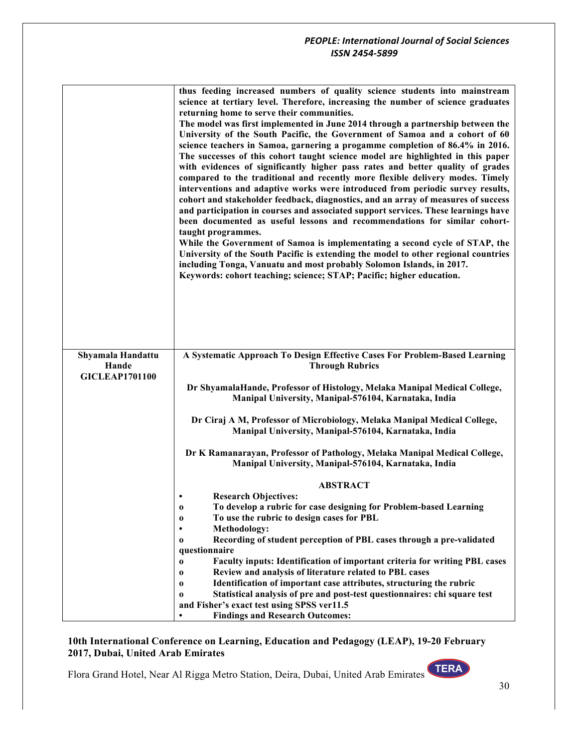|                                                     | thus feeding increased numbers of quality science students into mainstream<br>science at tertiary level. Therefore, increasing the number of science graduates<br>returning home to serve their communities.<br>The model was first implemented in June 2014 through a partnership between the<br>University of the South Pacific, the Government of Samoa and a cohort of 60<br>science teachers in Samoa, garnering a progamme completion of 86.4% in 2016.<br>The successes of this cohort taught science model are highlighted in this paper<br>with evidences of significantly higher pass rates and better quality of grades<br>compared to the traditional and recently more flexible delivery modes. Timely<br>interventions and adaptive works were introduced from periodic survey results,<br>cohort and stakeholder feedback, diagnostics, and an array of measures of success<br>and participation in courses and associated support services. These learnings have<br>been documented as useful lessons and recommendations for similar cohort-<br>taught programmes.<br>While the Government of Samoa is implementating a second cycle of STAP, the<br>University of the South Pacific is extending the model to other regional countries<br>including Tonga, Vanuatu and most probably Solomon Islands, in 2017.<br>Keywords: cohort teaching; science; STAP; Pacific; higher education. |
|-----------------------------------------------------|----------------------------------------------------------------------------------------------------------------------------------------------------------------------------------------------------------------------------------------------------------------------------------------------------------------------------------------------------------------------------------------------------------------------------------------------------------------------------------------------------------------------------------------------------------------------------------------------------------------------------------------------------------------------------------------------------------------------------------------------------------------------------------------------------------------------------------------------------------------------------------------------------------------------------------------------------------------------------------------------------------------------------------------------------------------------------------------------------------------------------------------------------------------------------------------------------------------------------------------------------------------------------------------------------------------------------------------------------------------------------------------------------------|
|                                                     |                                                                                                                                                                                                                                                                                                                                                                                                                                                                                                                                                                                                                                                                                                                                                                                                                                                                                                                                                                                                                                                                                                                                                                                                                                                                                                                                                                                                          |
| Shyamala Handattu<br>Hande<br><b>GICLEAP1701100</b> | A Systematic Approach To Design Effective Cases For Problem-Based Learning<br><b>Through Rubrics</b><br>Dr ShyamalaHande, Professor of Histology, Melaka Manipal Medical College,                                                                                                                                                                                                                                                                                                                                                                                                                                                                                                                                                                                                                                                                                                                                                                                                                                                                                                                                                                                                                                                                                                                                                                                                                        |
|                                                     | Manipal University, Manipal-576104, Karnataka, India                                                                                                                                                                                                                                                                                                                                                                                                                                                                                                                                                                                                                                                                                                                                                                                                                                                                                                                                                                                                                                                                                                                                                                                                                                                                                                                                                     |
|                                                     | Dr Ciraj A M, Professor of Microbiology, Melaka Manipal Medical College,<br>Manipal University, Manipal-576104, Karnataka, India                                                                                                                                                                                                                                                                                                                                                                                                                                                                                                                                                                                                                                                                                                                                                                                                                                                                                                                                                                                                                                                                                                                                                                                                                                                                         |
|                                                     | Dr K Ramanarayan, Professor of Pathology, Melaka Manipal Medical College,<br>Manipal University, Manipal-576104, Karnataka, India                                                                                                                                                                                                                                                                                                                                                                                                                                                                                                                                                                                                                                                                                                                                                                                                                                                                                                                                                                                                                                                                                                                                                                                                                                                                        |
|                                                     | <b>ABSTRACT</b>                                                                                                                                                                                                                                                                                                                                                                                                                                                                                                                                                                                                                                                                                                                                                                                                                                                                                                                                                                                                                                                                                                                                                                                                                                                                                                                                                                                          |
|                                                     | <b>Research Objectives:</b>                                                                                                                                                                                                                                                                                                                                                                                                                                                                                                                                                                                                                                                                                                                                                                                                                                                                                                                                                                                                                                                                                                                                                                                                                                                                                                                                                                              |
|                                                     | To develop a rubric for case designing for Problem-based Learning<br>$\boldsymbol{0}$<br>To use the rubric to design cases for PBL<br>$\bf{0}$                                                                                                                                                                                                                                                                                                                                                                                                                                                                                                                                                                                                                                                                                                                                                                                                                                                                                                                                                                                                                                                                                                                                                                                                                                                           |
|                                                     | <b>Methodology:</b>                                                                                                                                                                                                                                                                                                                                                                                                                                                                                                                                                                                                                                                                                                                                                                                                                                                                                                                                                                                                                                                                                                                                                                                                                                                                                                                                                                                      |
|                                                     | Recording of student perception of PBL cases through a pre-validated<br>$\bf{0}$<br>questionnaire                                                                                                                                                                                                                                                                                                                                                                                                                                                                                                                                                                                                                                                                                                                                                                                                                                                                                                                                                                                                                                                                                                                                                                                                                                                                                                        |
|                                                     | Faculty inputs: Identification of important criteria for writing PBL cases<br>$\bf{0}$                                                                                                                                                                                                                                                                                                                                                                                                                                                                                                                                                                                                                                                                                                                                                                                                                                                                                                                                                                                                                                                                                                                                                                                                                                                                                                                   |
|                                                     | Review and analysis of literature related to PBL cases<br>$\bf{0}$                                                                                                                                                                                                                                                                                                                                                                                                                                                                                                                                                                                                                                                                                                                                                                                                                                                                                                                                                                                                                                                                                                                                                                                                                                                                                                                                       |
|                                                     | Identification of important case attributes, structuring the rubric<br>$\bf{0}$<br>Statistical analysis of pre and post-test questionnaires: chi square test<br>$\bf{0}$                                                                                                                                                                                                                                                                                                                                                                                                                                                                                                                                                                                                                                                                                                                                                                                                                                                                                                                                                                                                                                                                                                                                                                                                                                 |
|                                                     | and Fisher's exact test using SPSS ver11.5                                                                                                                                                                                                                                                                                                                                                                                                                                                                                                                                                                                                                                                                                                                                                                                                                                                                                                                                                                                                                                                                                                                                                                                                                                                                                                                                                               |
|                                                     | <b>Findings and Research Outcomes:</b>                                                                                                                                                                                                                                                                                                                                                                                                                                                                                                                                                                                                                                                                                                                                                                                                                                                                                                                                                                                                                                                                                                                                                                                                                                                                                                                                                                   |

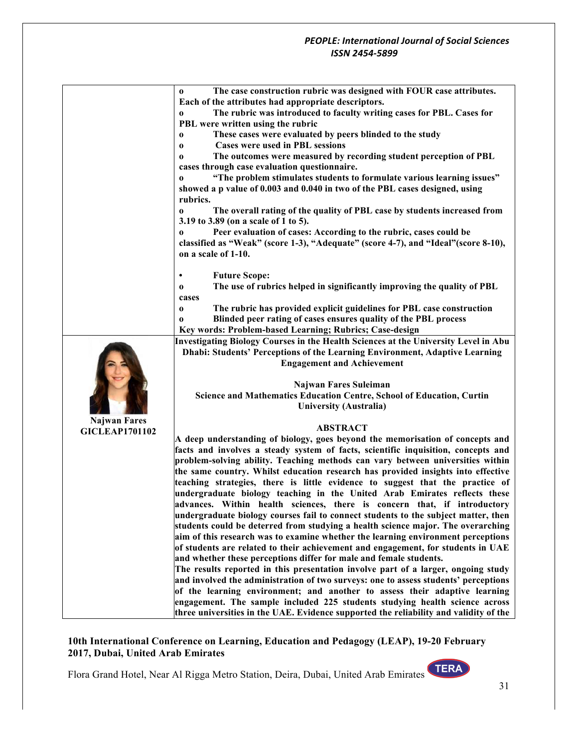|                       | The case construction rubric was designed with FOUR case attributes.<br>$\bf{0}$      |
|-----------------------|---------------------------------------------------------------------------------------|
|                       | Each of the attributes had appropriate descriptors.                                   |
|                       | The rubric was introduced to faculty writing cases for PBL. Cases for<br>$\bf{0}$     |
|                       | PBL were written using the rubric                                                     |
|                       | These cases were evaluated by peers blinded to the study<br>$\bf{0}$                  |
|                       | <b>Cases were used in PBL sessions</b><br>0                                           |
|                       | The outcomes were measured by recording student perception of PBL<br>0                |
|                       | cases through case evaluation questionnaire.                                          |
|                       | "The problem stimulates students to formulate various learning issues"<br>$\bf{0}$    |
|                       | showed a p value of 0.003 and 0.040 in two of the PBL cases designed, using           |
|                       | rubrics.                                                                              |
|                       |                                                                                       |
|                       | The overall rating of the quality of PBL case by students increased from<br>$\bf{0}$  |
|                       | 3.19 to 3.89 (on a scale of 1 to 5).                                                  |
|                       | Peer evaluation of cases: According to the rubric, cases could be<br>$\bf{0}$         |
|                       | classified as "Weak" (score 1-3), "Adequate" (score 4-7), and "Ideal" (score 8-10),   |
|                       | on a scale of 1-10.                                                                   |
|                       |                                                                                       |
|                       | <b>Future Scope:</b>                                                                  |
|                       | The use of rubrics helped in significantly improving the quality of PBL<br>$\bf{0}$   |
|                       | cases                                                                                 |
|                       | The rubric has provided explicit guidelines for PBL case construction<br>$\bf{0}$     |
|                       | Blinded peer rating of cases ensures quality of the PBL process<br>$\bf{0}$           |
|                       | Key words: Problem-based Learning; Rubrics; Case-design                               |
|                       | Investigating Biology Courses in the Health Sciences at the University Level in Abu   |
|                       | <b>Dhabi: Students' Perceptions of the Learning Environment, Adaptive Learning</b>    |
|                       | <b>Engagement and Achievement</b>                                                     |
|                       |                                                                                       |
|                       | Najwan Fares Suleiman                                                                 |
|                       | Science and Mathematics Education Centre, School of Education, Curtin                 |
|                       | <b>University (Australia)</b>                                                         |
| <b>Najwan Fares</b>   |                                                                                       |
| <b>GICLEAP1701102</b> | <b>ABSTRACT</b>                                                                       |
|                       | A deep understanding of biology, goes beyond the memorisation of concepts and         |
|                       | facts and involves a steady system of facts, scientific inquisition, concepts and     |
|                       | problem-solving ability. Teaching methods can vary between universities within        |
|                       | the same country. Whilst education research has provided insights into effective      |
|                       | teaching strategies, there is little evidence to suggest that the practice of         |
|                       | undergraduate biology teaching in the United Arab Emirates reflects these             |
|                       | advances. Within health sciences, there is concern that, if introductory              |
|                       | undergraduate biology courses fail to connect students to the subject matter, then    |
|                       | students could be deterred from studying a health science major. The overarching      |
|                       |                                                                                       |
|                       | aim of this research was to examine whether the learning environment perceptions      |
|                       | of students are related to their achievement and engagement, for students in UAE      |
|                       | and whether these perceptions differ for male and female students.                    |
|                       | The results reported in this presentation involve part of a larger, ongoing study     |
|                       | and involved the administration of two surveys: one to assess students' perceptions   |
|                       | of the learning environment; and another to assess their adaptive learning            |
|                       | engagement. The sample included 225 students studying health science across           |
|                       | three universities in the UAE. Evidence supported the reliability and validity of the |

Flora Grand Hotel, Near Al Rigga Metro Station, Deira, Dubai, United Arab Emirates

31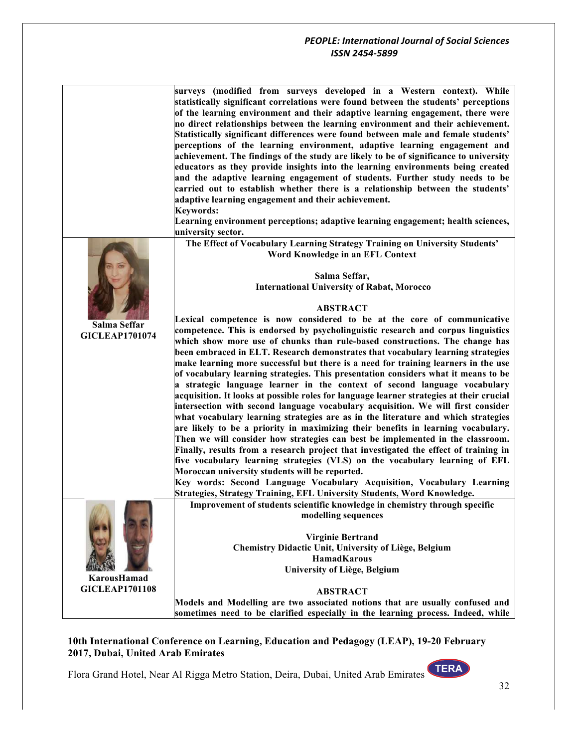|                       | surveys (modified from surveys developed in a Western context). While<br>statistically significant correlations were found between the students' perceptions<br>of the learning environment and their adaptive learning engagement, there were<br>no direct relationships between the learning environment and their achievement.<br>Statistically significant differences were found between male and female students'<br>perceptions of the learning environment, adaptive learning engagement and<br>achievement. The findings of the study are likely to be of significance to university<br>educators as they provide insights into the learning environments being created<br>and the adaptive learning engagement of students. Further study needs to be<br>carried out to establish whether there is a relationship between the students'<br>adaptive learning engagement and their achievement.<br><b>Keywords:</b><br>Learning environment perceptions; adaptive learning engagement; health sciences, |
|-----------------------|------------------------------------------------------------------------------------------------------------------------------------------------------------------------------------------------------------------------------------------------------------------------------------------------------------------------------------------------------------------------------------------------------------------------------------------------------------------------------------------------------------------------------------------------------------------------------------------------------------------------------------------------------------------------------------------------------------------------------------------------------------------------------------------------------------------------------------------------------------------------------------------------------------------------------------------------------------------------------------------------------------------|
|                       | university sector.                                                                                                                                                                                                                                                                                                                                                                                                                                                                                                                                                                                                                                                                                                                                                                                                                                                                                                                                                                                               |
|                       | The Effect of Vocabulary Learning Strategy Training on University Students'<br>Word Knowledge in an EFL Context                                                                                                                                                                                                                                                                                                                                                                                                                                                                                                                                                                                                                                                                                                                                                                                                                                                                                                  |
|                       | Salma Seffar,                                                                                                                                                                                                                                                                                                                                                                                                                                                                                                                                                                                                                                                                                                                                                                                                                                                                                                                                                                                                    |
|                       | <b>International University of Rabat, Morocco</b>                                                                                                                                                                                                                                                                                                                                                                                                                                                                                                                                                                                                                                                                                                                                                                                                                                                                                                                                                                |
|                       |                                                                                                                                                                                                                                                                                                                                                                                                                                                                                                                                                                                                                                                                                                                                                                                                                                                                                                                                                                                                                  |
|                       | <b>ABSTRACT</b>                                                                                                                                                                                                                                                                                                                                                                                                                                                                                                                                                                                                                                                                                                                                                                                                                                                                                                                                                                                                  |
| Salma Seffar          | Lexical competence is now considered to be at the core of communicative<br>competence. This is endorsed by psycholinguistic research and corpus linguistics                                                                                                                                                                                                                                                                                                                                                                                                                                                                                                                                                                                                                                                                                                                                                                                                                                                      |
| <b>GICLEAP1701074</b> | which show more use of chunks than rule-based constructions. The change has                                                                                                                                                                                                                                                                                                                                                                                                                                                                                                                                                                                                                                                                                                                                                                                                                                                                                                                                      |
|                       | been embraced in ELT. Research demonstrates that vocabulary learning strategies                                                                                                                                                                                                                                                                                                                                                                                                                                                                                                                                                                                                                                                                                                                                                                                                                                                                                                                                  |
|                       | make learning more successful but there is a need for training learners in the use                                                                                                                                                                                                                                                                                                                                                                                                                                                                                                                                                                                                                                                                                                                                                                                                                                                                                                                               |
|                       | of vocabulary learning strategies. This presentation considers what it means to be                                                                                                                                                                                                                                                                                                                                                                                                                                                                                                                                                                                                                                                                                                                                                                                                                                                                                                                               |
|                       | a strategic language learner in the context of second language vocabulary                                                                                                                                                                                                                                                                                                                                                                                                                                                                                                                                                                                                                                                                                                                                                                                                                                                                                                                                        |
|                       | acquisition. It looks at possible roles for language learner strategies at their crucial                                                                                                                                                                                                                                                                                                                                                                                                                                                                                                                                                                                                                                                                                                                                                                                                                                                                                                                         |
|                       | intersection with second language vocabulary acquisition. We will first consider                                                                                                                                                                                                                                                                                                                                                                                                                                                                                                                                                                                                                                                                                                                                                                                                                                                                                                                                 |
|                       | what vocabulary learning strategies are as in the literature and which strategies                                                                                                                                                                                                                                                                                                                                                                                                                                                                                                                                                                                                                                                                                                                                                                                                                                                                                                                                |
|                       | are likely to be a priority in maximizing their benefits in learning vocabulary.                                                                                                                                                                                                                                                                                                                                                                                                                                                                                                                                                                                                                                                                                                                                                                                                                                                                                                                                 |
|                       | Then we will consider how strategies can best be implemented in the classroom.                                                                                                                                                                                                                                                                                                                                                                                                                                                                                                                                                                                                                                                                                                                                                                                                                                                                                                                                   |
|                       | Finally, results from a research project that investigated the effect of training in                                                                                                                                                                                                                                                                                                                                                                                                                                                                                                                                                                                                                                                                                                                                                                                                                                                                                                                             |
|                       | five vocabulary learning strategies (VLS) on the vocabulary learning of EFL                                                                                                                                                                                                                                                                                                                                                                                                                                                                                                                                                                                                                                                                                                                                                                                                                                                                                                                                      |
|                       | Moroccan university students will be reported.                                                                                                                                                                                                                                                                                                                                                                                                                                                                                                                                                                                                                                                                                                                                                                                                                                                                                                                                                                   |
|                       | Key words: Second Language Vocabulary Acquisition, Vocabulary Learning<br>Strategies, Strategy Training, EFL University Students, Word Knowledge.                                                                                                                                                                                                                                                                                                                                                                                                                                                                                                                                                                                                                                                                                                                                                                                                                                                                |
|                       | Improvement of students scientific knowledge in chemistry through specific                                                                                                                                                                                                                                                                                                                                                                                                                                                                                                                                                                                                                                                                                                                                                                                                                                                                                                                                       |
|                       | modelling sequences                                                                                                                                                                                                                                                                                                                                                                                                                                                                                                                                                                                                                                                                                                                                                                                                                                                                                                                                                                                              |
|                       |                                                                                                                                                                                                                                                                                                                                                                                                                                                                                                                                                                                                                                                                                                                                                                                                                                                                                                                                                                                                                  |
|                       | <b>Virginie Bertrand</b>                                                                                                                                                                                                                                                                                                                                                                                                                                                                                                                                                                                                                                                                                                                                                                                                                                                                                                                                                                                         |
|                       | Chemistry Didactic Unit, University of Liège, Belgium                                                                                                                                                                                                                                                                                                                                                                                                                                                                                                                                                                                                                                                                                                                                                                                                                                                                                                                                                            |
|                       | <b>HamadKarous</b>                                                                                                                                                                                                                                                                                                                                                                                                                                                                                                                                                                                                                                                                                                                                                                                                                                                                                                                                                                                               |
|                       | University of Liège, Belgium                                                                                                                                                                                                                                                                                                                                                                                                                                                                                                                                                                                                                                                                                                                                                                                                                                                                                                                                                                                     |
| KarousHamad           |                                                                                                                                                                                                                                                                                                                                                                                                                                                                                                                                                                                                                                                                                                                                                                                                                                                                                                                                                                                                                  |
| <b>GICLEAP1701108</b> | <b>ABSTRACT</b>                                                                                                                                                                                                                                                                                                                                                                                                                                                                                                                                                                                                                                                                                                                                                                                                                                                                                                                                                                                                  |
|                       | Models and Modelling are two associated notions that are usually confused and                                                                                                                                                                                                                                                                                                                                                                                                                                                                                                                                                                                                                                                                                                                                                                                                                                                                                                                                    |
|                       | sometimes need to be clarified especially in the learning process. Indeed, while                                                                                                                                                                                                                                                                                                                                                                                                                                                                                                                                                                                                                                                                                                                                                                                                                                                                                                                                 |

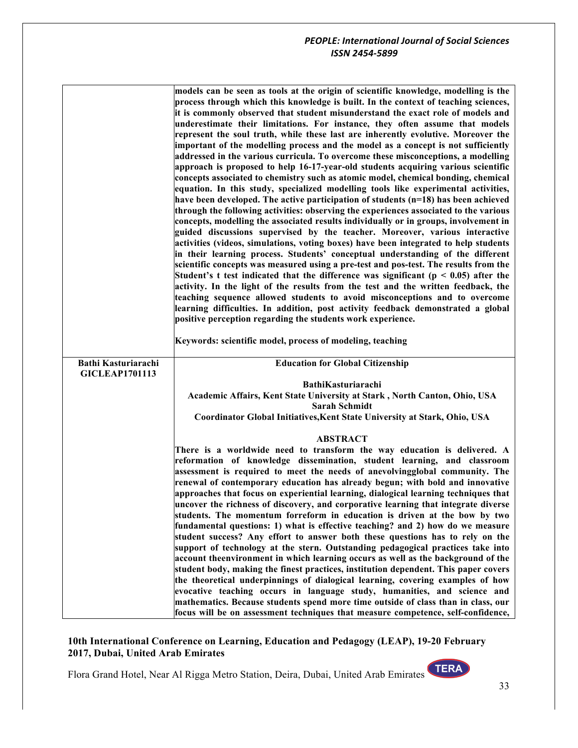|                                                     | models can be seen as tools at the origin of scientific knowledge, modelling is the                                                                           |
|-----------------------------------------------------|---------------------------------------------------------------------------------------------------------------------------------------------------------------|
|                                                     | process through which this knowledge is built. In the context of teaching sciences,                                                                           |
|                                                     | it is commonly observed that student misunderstand the exact role of models and                                                                               |
|                                                     | underestimate their limitations. For instance, they often assume that models                                                                                  |
|                                                     | represent the soul truth, while these last are inherently evolutive. Moreover the                                                                             |
|                                                     | important of the modelling process and the model as a concept is not sufficiently                                                                             |
|                                                     | addressed in the various curricula. To overcome these misconceptions, a modelling                                                                             |
|                                                     | approach is proposed to help 16-17-year-old students acquiring various scientific                                                                             |
|                                                     | concepts associated to chemistry such as atomic model, chemical bonding, chemical                                                                             |
|                                                     | equation. In this study, specialized modelling tools like experimental activities,                                                                            |
|                                                     | have been developed. The active participation of students $(n=18)$ has been achieved                                                                          |
|                                                     | through the following activities: observing the experiences associated to the various                                                                         |
|                                                     | concepts, modelling the associated results individually or in groups, involvement in                                                                          |
|                                                     | guided discussions supervised by the teacher. Moreover, various interactive                                                                                   |
|                                                     | activities (videos, simulations, voting boxes) have been integrated to help students                                                                          |
|                                                     | in their learning process. Students' conceptual understanding of the different                                                                                |
|                                                     | scientific concepts was measured using a pre-test and pos-test. The results from the                                                                          |
|                                                     | Student's t test indicated that the difference was significant ( $p < 0.05$ ) after the                                                                       |
|                                                     | activity. In the light of the results from the test and the written feedback, the                                                                             |
|                                                     | teaching sequence allowed students to avoid misconceptions and to overcome                                                                                    |
|                                                     | learning difficulties. In addition, post activity feedback demonstrated a global                                                                              |
|                                                     | positive perception regarding the students work experience.                                                                                                   |
|                                                     |                                                                                                                                                               |
|                                                     | Keywords: scientific model, process of modeling, teaching                                                                                                     |
| <b>Bathi Kasturiarachi</b><br><b>GICLEAP1701113</b> | <b>Education for Global Citizenship</b>                                                                                                                       |
|                                                     | BathiKasturiarachi                                                                                                                                            |
|                                                     | Academic Affairs, Kent State University at Stark, North Canton, Ohio, USA                                                                                     |
|                                                     | Sarah Schmidt                                                                                                                                                 |
|                                                     | Coordinator Global Initiatives, Kent State University at Stark, Ohio, USA                                                                                     |
|                                                     |                                                                                                                                                               |
|                                                     | <b>ABSTRACT</b>                                                                                                                                               |
|                                                     | There is a worldwide need to transform the way education is delivered. A                                                                                      |
|                                                     | reformation of knowledge dissemination, student learning, and classroom                                                                                       |
|                                                     | assessment is required to meet the needs of anevolvingglobal community. The                                                                                   |
|                                                     | renewal of contemporary education has already begun; with bold and innovative                                                                                 |
|                                                     | approaches that focus on experiential learning, dialogical learning techniques that                                                                           |
|                                                     | uncover the richness of discovery, and corporative learning that integrate diverse                                                                            |
|                                                     | students. The momentum forreform in education is driven at the bow by two                                                                                     |
|                                                     |                                                                                                                                                               |
|                                                     | fundamental questions: 1) what is effective teaching? and 2) how do we measure                                                                                |
|                                                     | student success? Any effort to answer both these questions has to rely on the                                                                                 |
|                                                     | support of technology at the stern. Outstanding pedagogical practices take into                                                                               |
|                                                     | account theenvironment in which learning occurs as well as the background of the                                                                              |
|                                                     | student body, making the finest practices, institution dependent. This paper covers                                                                           |
|                                                     | the theoretical underpinnings of dialogical learning, covering examples of how                                                                                |
|                                                     | evocative teaching occurs in language study, humanities, and science and<br>mathematics. Because students spend more time outside of class than in class, our |
|                                                     |                                                                                                                                                               |

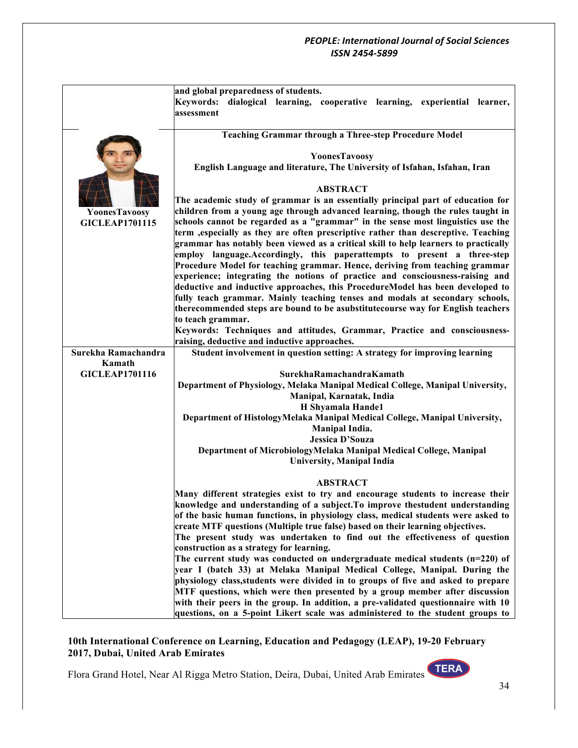|                       | and global preparedness of students.                                                                                                                            |
|-----------------------|-----------------------------------------------------------------------------------------------------------------------------------------------------------------|
|                       | Keywords: dialogical learning, cooperative learning, experiential learner,                                                                                      |
|                       | assessment                                                                                                                                                      |
|                       |                                                                                                                                                                 |
|                       | <b>Teaching Grammar through a Three-step Procedure Model</b>                                                                                                    |
|                       |                                                                                                                                                                 |
|                       | YoonesTavoosy                                                                                                                                                   |
|                       | English Language and literature, The University of Isfahan, Isfahan, Iran                                                                                       |
|                       |                                                                                                                                                                 |
|                       | <b>ABSTRACT</b>                                                                                                                                                 |
|                       | The academic study of grammar is an essentially principal part of education for                                                                                 |
| YoonesTavoosy         | children from a young age through advanced learning, though the rules taught in                                                                                 |
| <b>GICLEAP1701115</b> | schools cannot be regarded as a "grammar" in the sense most linguistics use the                                                                                 |
|                       | term , especially as they are often prescriptive rather than descreptive. Teaching                                                                              |
|                       | grammar has notably been viewed as a critical skill to help learners to practically<br>employ language. Accordingly, this paperattempts to present a three-step |
|                       | Procedure Model for teaching grammar. Hence, deriving from teaching grammar                                                                                     |
|                       | experience; integrating the notions of practice and consciousness-raising and                                                                                   |
|                       | deductive and inductive approaches, this ProcedureModel has been developed to                                                                                   |
|                       | fully teach grammar. Mainly teaching tenses and modals at secondary schools,                                                                                    |
|                       | therecommended steps are bound to be asubstitutecourse way for English teachers                                                                                 |
|                       | to teach grammar.                                                                                                                                               |
|                       | Keywords: Techniques and attitudes, Grammar, Practice and consciousness-                                                                                        |
|                       | raising, deductive and inductive approaches.                                                                                                                    |
| Surekha Ramachandra   | Student involvement in question setting: A strategy for improving learning                                                                                      |
| Kamath                |                                                                                                                                                                 |
| <b>GICLEAP1701116</b> | SurekhaRamachandraKamath                                                                                                                                        |
|                       | Department of Physiology, Melaka Manipal Medical College, Manipal University,                                                                                   |
|                       | Manipal, Karnatak, India                                                                                                                                        |
|                       | H Shyamala Hande1                                                                                                                                               |
|                       | Department of HistologyMelaka Manipal Medical College, Manipal University,                                                                                      |
|                       | Manipal India.                                                                                                                                                  |
|                       | <b>Jessica D'Souza</b>                                                                                                                                          |
|                       | Department of MicrobiologyMelaka Manipal Medical College, Manipal                                                                                               |
|                       | <b>University, Manipal India</b>                                                                                                                                |
|                       | <b>ABSTRACT</b>                                                                                                                                                 |
|                       | Many different strategies exist to try and encourage students to increase their                                                                                 |
|                       | knowledge and understanding of a subject. To improve thestudent understanding                                                                                   |
|                       | of the basic human functions, in physiology class, medical students were asked to                                                                               |
|                       | create MTF questions (Multiple true false) based on their learning objectives.                                                                                  |
|                       | The present study was undertaken to find out the effectiveness of question                                                                                      |
|                       | construction as a strategy for learning.                                                                                                                        |
|                       | The current study was conducted on undergraduate medical students $(n=220)$ of                                                                                  |
|                       | year I (batch 33) at Melaka Manipal Medical College, Manipal. During the                                                                                        |
|                       | physiology class, students were divided in to groups of five and asked to prepare                                                                               |
|                       | MTF questions, which were then presented by a group member after discussion                                                                                     |
|                       | with their peers in the group. In addition, a pre-validated questionnaire with 10                                                                               |
|                       | questions, on a 5-point Likert scale was administered to the student groups to                                                                                  |

## **10th International Conference on Learning, Education and Pedagogy (LEAP), 19-20 February 2017, Dubai, United Arab Emirates**

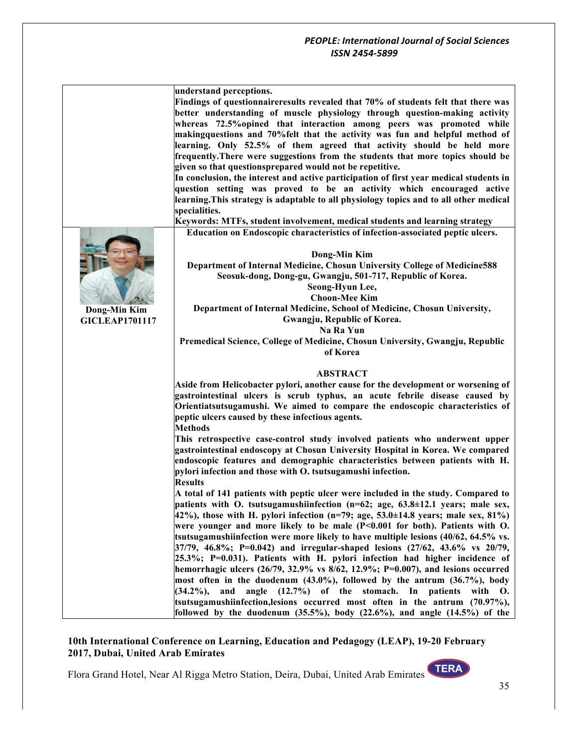|                       | understand perceptions.                                                                        |
|-----------------------|------------------------------------------------------------------------------------------------|
|                       | Findings of questionnaireresults revealed that 70% of students felt that there was             |
|                       | better understanding of muscle physiology through question-making activity                     |
|                       | whereas 72.5% opined that interaction among peers was promoted while                           |
|                       | makingquestions and 70% felt that the activity was fun and helpful method of                   |
|                       | learning. Only 52.5% of them agreed that activity should be held more                          |
|                       | frequently. There were suggestions from the students that more topics should be                |
|                       |                                                                                                |
|                       | given so that questionsprepared would not be repetitive.                                       |
|                       | In conclusion, the interest and active participation of first year medical students in         |
|                       | question setting was proved to be an activity which encouraged active                          |
|                       | learning. This strategy is adaptable to all physiology topics and to all other medical         |
|                       | specialities.                                                                                  |
|                       | Keywords: MTFs, student involvement, medical students and learning strategy                    |
|                       | Education on Endoscopic characteristics of infection-associated peptic ulcers.                 |
|                       |                                                                                                |
|                       | Dong-Min Kim                                                                                   |
|                       | Department of Internal Medicine, Chosun University College of Medicine588                      |
|                       | Seosuk-dong, Dong-gu, Gwangju, 501-717, Republic of Korea.                                     |
|                       | Seong-Hyun Lee,                                                                                |
|                       | <b>Choon-Mee Kim</b>                                                                           |
| Dong-Min Kim          | Department of Internal Medicine, School of Medicine, Chosun University,                        |
| <b>GICLEAP1701117</b> | Gwangju, Republic of Korea.                                                                    |
|                       | Na Ra Yun                                                                                      |
|                       | Premedical Science, College of Medicine, Chosun University, Gwangju, Republic                  |
|                       | of Korea                                                                                       |
|                       |                                                                                                |
|                       | <b>ABSTRACT</b>                                                                                |
|                       | Aside from Helicobacter pylori, another cause for the development or worsening of              |
|                       | gastrointestinal ulcers is scrub typhus, an acute febrile disease caused by                    |
|                       | Orientiatsutsugamushi. We aimed to compare the endoscopic characteristics of                   |
|                       | peptic ulcers caused by these infectious agents.                                               |
|                       | <b>Methods</b>                                                                                 |
|                       | This retrospective case-control study involved patients who underwent upper                    |
|                       |                                                                                                |
|                       | gastrointestinal endoscopy at Chosun University Hospital in Korea. We compared                 |
|                       | endoscopic features and demographic characteristics between patients with H.                   |
|                       | pylori infection and those with O. tsutsugamushi infection.                                    |
|                       | <b>Results</b>                                                                                 |
|                       | A total of 141 patients with peptic ulcer were included in the study. Compared to              |
|                       | patients with O. tsutsugamushiinfection $(n=62;$ age, $63.8\pm12.1$ years; male sex,           |
|                       | 42%), those with H. pylori infection $(n=79;$ age, 53.0 $\pm$ 14.8 years; male sex, 81%)       |
|                       | were younger and more likely to be male $(P<0.001$ for both). Patients with O.                 |
|                       | tsutsugamushiinfection were more likely to have multiple lesions $(40/62, 64.5\% \text{ vs.})$ |
|                       | $37/79$ , 46.8%; P=0.042) and irregular-shaped lesions (27/62, 43.6% vs 20/79,                 |
|                       | $25.3\%$ ; P=0.031). Patients with H. pylori infection had higher incidence of                 |
|                       | hemorrhagic ulcers $(26/79, 32.9\% \text{ vs } 8/62, 12.9\%; P=0.007)$ , and lesions occurred  |
|                       | most often in the duodenum (43.0%), followed by the antrum (36.7%), body                       |
|                       | and<br>angle (12.7%) of the stomach. In patients<br>$(34.2\%)$<br>with<br>O.                   |
|                       | tsutsugamushiinfection, lesions occurred most often in the antrum $(70.97\%)$ ,                |
|                       | followed by the duodenum $(35.5\%)$ , body $(22.6\%)$ , and angle $(14.5\%)$ of the            |

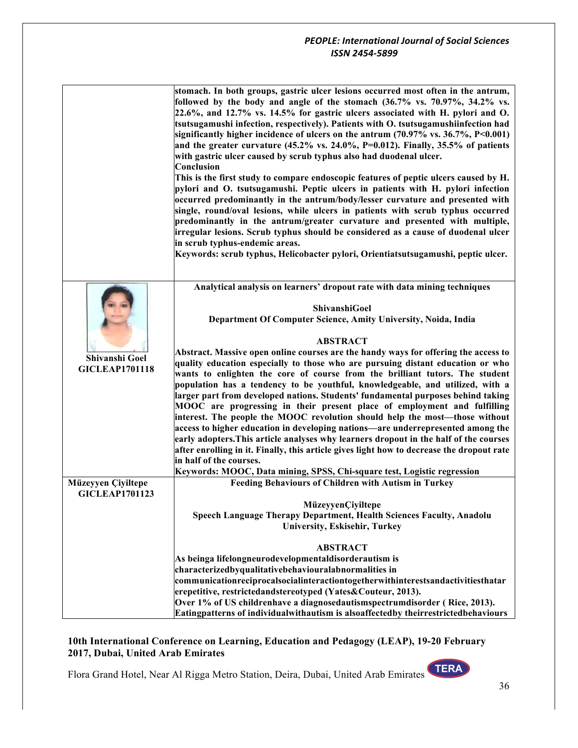|                       | stomach. In both groups, gastric ulcer lesions occurred most often in the antrum,<br>followed by the body and angle of the stomach (36.7% vs. 70.97%, 34.2% vs.<br>22.6%, and 12.7% vs. 14.5% for gastric ulcers associated with H. pylori and O.<br>tsutsugamushi infection, respectively). Patients with O. tsutsugamushiinfection had<br>significantly higher incidence of ulcers on the antrum $(70.97\% \text{ vs. } 36.7\%, \text{ P} < 0.001)$<br>and the greater curvature $(45.2\% \text{ vs. } 24.0\%, \text{ P=0.012}).$ Finally, 35.5% of patients<br>with gastric ulcer caused by scrub typhus also had duodenal ulcer.<br>Conclusion<br>This is the first study to compare endoscopic features of peptic ulcers caused by H.<br>pylori and O. tsutsugamushi. Peptic ulcers in patients with H. pylori infection<br>occurred predominantly in the antrum/body/lesser curvature and presented with<br>single, round/oval lesions, while ulcers in patients with scrub typhus occurred<br>predominantly in the antrum/greater curvature and presented with multiple,<br>irregular lesions. Scrub typhus should be considered as a cause of duodenal ulcer<br>in scrub typhus-endemic areas. |
|-----------------------|--------------------------------------------------------------------------------------------------------------------------------------------------------------------------------------------------------------------------------------------------------------------------------------------------------------------------------------------------------------------------------------------------------------------------------------------------------------------------------------------------------------------------------------------------------------------------------------------------------------------------------------------------------------------------------------------------------------------------------------------------------------------------------------------------------------------------------------------------------------------------------------------------------------------------------------------------------------------------------------------------------------------------------------------------------------------------------------------------------------------------------------------------------------------------------------------------------|
|                       | Keywords: scrub typhus, Helicobacter pylori, Orientiatsutsugamushi, peptic ulcer.                                                                                                                                                                                                                                                                                                                                                                                                                                                                                                                                                                                                                                                                                                                                                                                                                                                                                                                                                                                                                                                                                                                      |
|                       | Analytical analysis on learners' dropout rate with data mining techniques<br>ShivanshiGoel<br>Department Of Computer Science, Amity University, Noida, India                                                                                                                                                                                                                                                                                                                                                                                                                                                                                                                                                                                                                                                                                                                                                                                                                                                                                                                                                                                                                                           |
| Shivanshi Goel        | <b>ABSTRACT</b><br>Abstract. Massive open online courses are the handy ways for offering the access to<br>quality education especially to those who are pursuing distant education or who                                                                                                                                                                                                                                                                                                                                                                                                                                                                                                                                                                                                                                                                                                                                                                                                                                                                                                                                                                                                              |
| <b>GICLEAP1701118</b> | wants to enlighten the core of course from the brilliant tutors. The student<br>population has a tendency to be youthful, knowledgeable, and utilized, with a<br>larger part from developed nations. Students' fundamental purposes behind taking<br>MOOC are progressing in their present place of employment and fulfilling<br>interest. The people the MOOC revolution should help the most—those without<br>access to higher education in developing nations-are underrepresented among the<br>early adopters. This article analyses why learners dropout in the half of the courses                                                                                                                                                                                                                                                                                                                                                                                                                                                                                                                                                                                                               |
|                       | after enrolling in it. Finally, this article gives light how to decrease the dropout rate                                                                                                                                                                                                                                                                                                                                                                                                                                                                                                                                                                                                                                                                                                                                                                                                                                                                                                                                                                                                                                                                                                              |
|                       | in half of the courses.<br>Keywords: MOOC, Data mining, SPSS, Chi-square test, Logistic regression                                                                                                                                                                                                                                                                                                                                                                                                                                                                                                                                                                                                                                                                                                                                                                                                                                                                                                                                                                                                                                                                                                     |
| Müzeyyen Çiyiltepe    | Feeding Behaviours of Children with Autism in Turkey                                                                                                                                                                                                                                                                                                                                                                                                                                                                                                                                                                                                                                                                                                                                                                                                                                                                                                                                                                                                                                                                                                                                                   |
| <b>GICLEAP1701123</b> | MüzeyyenÇiyiltepe                                                                                                                                                                                                                                                                                                                                                                                                                                                                                                                                                                                                                                                                                                                                                                                                                                                                                                                                                                                                                                                                                                                                                                                      |
|                       | <b>Speech Language Therapy Department, Health Sciences Faculty, Anadolu</b>                                                                                                                                                                                                                                                                                                                                                                                                                                                                                                                                                                                                                                                                                                                                                                                                                                                                                                                                                                                                                                                                                                                            |
|                       | University, Eskisehir, Turkey                                                                                                                                                                                                                                                                                                                                                                                                                                                                                                                                                                                                                                                                                                                                                                                                                                                                                                                                                                                                                                                                                                                                                                          |
|                       | <b>ABSTRACT</b>                                                                                                                                                                                                                                                                                                                                                                                                                                                                                                                                                                                                                                                                                                                                                                                                                                                                                                                                                                                                                                                                                                                                                                                        |
|                       | As beinga lifelongneurodevelopmentaldisorderautism is                                                                                                                                                                                                                                                                                                                                                                                                                                                                                                                                                                                                                                                                                                                                                                                                                                                                                                                                                                                                                                                                                                                                                  |
|                       | characterizedbyqualitativebehaviouralabnormalities in                                                                                                                                                                                                                                                                                                                                                                                                                                                                                                                                                                                                                                                                                                                                                                                                                                                                                                                                                                                                                                                                                                                                                  |
|                       | communicationreciprocalsocialinteractiontogetherwithinterestsandactivitiesthatar                                                                                                                                                                                                                                                                                                                                                                                                                                                                                                                                                                                                                                                                                                                                                                                                                                                                                                                                                                                                                                                                                                                       |
|                       | erepetitive, restrictedandstereotyped (Yates&Couteur, 2013).<br>Over 1% of US childrenhave a diagnosedautismspectrumdisorder (Rice, 2013).                                                                                                                                                                                                                                                                                                                                                                                                                                                                                                                                                                                                                                                                                                                                                                                                                                                                                                                                                                                                                                                             |
|                       | Eatingpatterns of individualwithautism is alsoaffectedby theirrestrictedbehaviours                                                                                                                                                                                                                                                                                                                                                                                                                                                                                                                                                                                                                                                                                                                                                                                                                                                                                                                                                                                                                                                                                                                     |

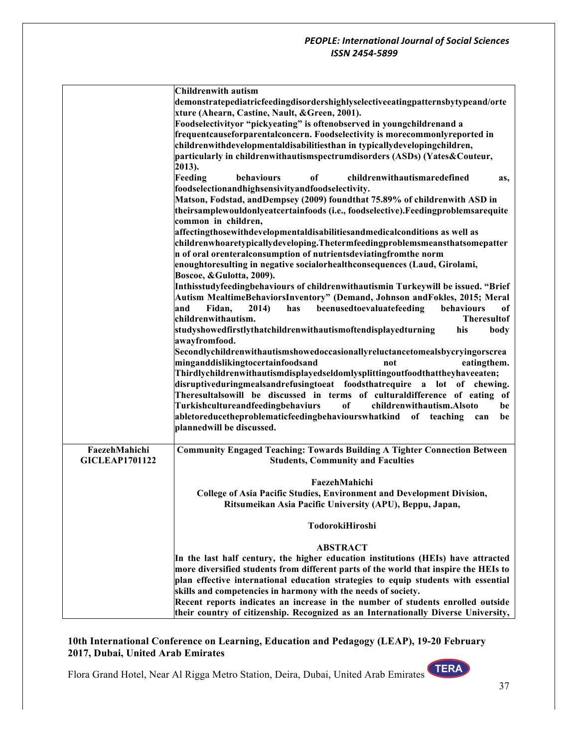| <b>Childrenwith autism</b>                                                                        |      |
|---------------------------------------------------------------------------------------------------|------|
| demonstratepediatricfeedingdisordershighlyselectiveeatingpatternsbytypeand/orte                   |      |
| xture (Ahearn, Castine, Nault, & Green, 2001).                                                    |      |
| Foodselectivityor "pickyeating" is oftenobserved in youngchildrenand a                            |      |
| frequentcauseforparentalconcern. Foodselectivity is morecommonlyreported in                       |      |
| childrenwithdevelopmentaldisabilitiesthan in typicallydevelopingchildren,                         |      |
| particularly in childrenwithautismspectrumdisorders (ASDs) (Yates&Couteur,                        |      |
| 2013).                                                                                            |      |
| Feeding<br>behaviours<br>of<br>childrenwithautismaredefined                                       | as,  |
| foodselectionandhighsensivityandfoodselectivity.                                                  |      |
| Matson, Fodstad, andDempsey (2009) foundthat 75.89% of childrenwith ASD in                        |      |
| theirsamplewouldonlyeatcertainfoods (i.e., foodselective).Feedingproblemsarequite                 |      |
| common in children,                                                                               |      |
| affectingthosewithdevelopmentaldisabilitiesandmedicalconditions as well as                        |      |
| childrenwhoaretypicallydeveloping. Thetermfeedingproblemsmeansthatsomepatter                      |      |
| n of oral orenteralconsumption of nutrientsdeviatingfromthe norm                                  |      |
| enoughtoresulting in negative socialorhealthconsequences (Laud, Girolami,                         |      |
| Boscoe, & Gulotta, 2009).                                                                         |      |
| Inthisstudyfeedingbehaviours of childrenwithautismin Turkeywill be issued. "Brief                 |      |
| Autism MealtimeBehaviorsInventory" (Demand, Johnson andFokles, 2015; Meral                        |      |
| beenusedtoevaluatefeeding<br>Fidan,<br>2014)<br>behaviours<br>and<br>has                          | оf   |
| childrenwithautism.<br><b>Theresultof</b>                                                         |      |
| studyshowedfirstlythatchildrenwithautismoftendisplayedturning<br>his                              | body |
| awayfromfood.                                                                                     |      |
| Secondlychildrenwithautismshowedoccasionallyreluctancetomealsbycryingorscrea                      |      |
| minganddislikingtocertainfoodsand<br>eatingthem.<br>not                                           |      |
| Thirdlychildrenwithautismdisplayedseldomlysplittingoutfoodthattheyhaveeaten;                      |      |
| disruptiveduringmealsandrefusingtoeat foodsthatrequire a lot of chewing.                          |      |
| Theresultalsowill be discussed in terms of culturaldifference of eating of                        |      |
| Turkishcultureandfeedingbehaviurs<br>of<br>childrenwithautism.Alsoto                              | be   |
| abletoreducetheproblematicfeedingbehaviourswhatkind of teaching<br>can                            | be   |
| plannedwill be discussed.                                                                         |      |
|                                                                                                   |      |
| FaezehMahichi<br><b>Community Engaged Teaching: Towards Building A Tighter Connection Between</b> |      |
| <b>GICLEAP1701122</b><br><b>Students, Community and Faculties</b>                                 |      |
|                                                                                                   |      |
| FaezehMahichi                                                                                     |      |
| College of Asia Pacific Studies, Environment and Development Division,                            |      |
| Ritsumeikan Asia Pacific University (APU), Beppu, Japan,                                          |      |
|                                                                                                   |      |
| TodorokiHiroshi                                                                                   |      |
|                                                                                                   |      |
| <b>ABSTRACT</b>                                                                                   |      |
| In the last half century, the higher education institutions (HEIs) have attracted                 |      |
| more diversified students from different parts of the world that inspire the HEIs to              |      |
| plan effective international education strategies to equip students with essential                |      |
| skills and competencies in harmony with the needs of society.                                     |      |
|                                                                                                   |      |
| Recent reports indicates an increase in the number of students enrolled outside                   |      |

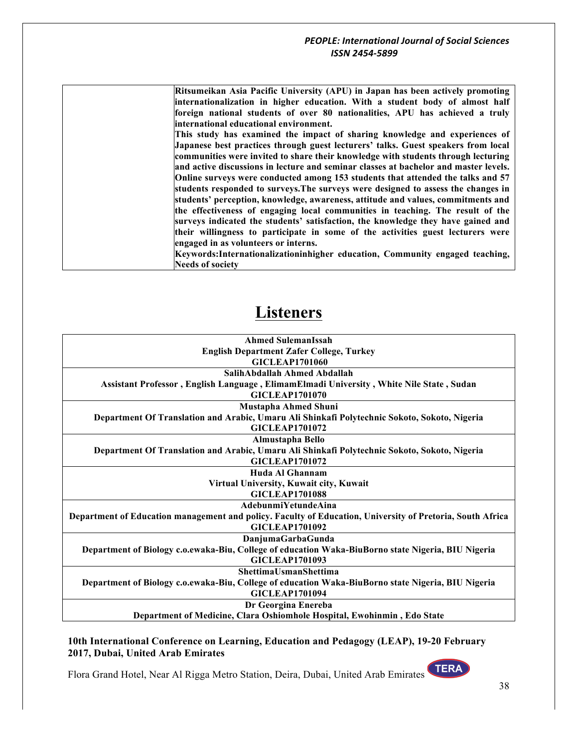**Ritsumeikan Asia Pacific University (APU) in Japan has been actively promoting internationalization in higher education. With a student body of almost half foreign national students of over 80 nationalities, APU has achieved a truly international educational environment.**

**This study has examined the impact of sharing knowledge and experiences of Japanese best practices through guest lecturers' talks. Guest speakers from local communities were invited to share their knowledge with students through lecturing and active discussions in lecture and seminar classes at bachelor and master levels. Online surveys were conducted among 153 students that attended the talks and 57 students responded to surveys.The surveys were designed to assess the changes in students' perception, knowledge, awareness, attitude and values, commitments and the effectiveness of engaging local communities in teaching. The result of the surveys indicated the students' satisfaction, the knowledge they have gained and their willingness to participate in some of the activities guest lecturers were engaged in as volunteers or interns.**

**Keywords:Internationalizationinhigher education, Community engaged teaching, Needs of society**

## **Listeners**

| <b>Ahmed SulemanIssah</b>                                                                                 |
|-----------------------------------------------------------------------------------------------------------|
| <b>English Department Zafer College, Turkey</b>                                                           |
| <b>GICLEAP1701060</b>                                                                                     |
| SalihAbdallah Ahmed Abdallah                                                                              |
| Assistant Professor, English Language, ElimamElmadi University, White Nile State, Sudan                   |
| <b>GICLEAP1701070</b>                                                                                     |
| Mustapha Ahmed Shuni                                                                                      |
| Department Of Translation and Arabic, Umaru Ali Shinkafi Polytechnic Sokoto, Sokoto, Nigeria              |
| <b>GICLEAP1701072</b>                                                                                     |
| Almustapha Bello                                                                                          |
| Department Of Translation and Arabic, Umaru Ali Shinkafi Polytechnic Sokoto, Sokoto, Nigeria              |
| <b>GICLEAP1701072</b>                                                                                     |
| Huda Al Ghannam                                                                                           |
| Virtual University, Kuwait city, Kuwait                                                                   |
| <b>GICLEAP1701088</b>                                                                                     |
| AdebunmiYetundeAina                                                                                       |
| Department of Education management and policy. Faculty of Education, University of Pretoria, South Africa |
| <b>GICLEAP1701092</b>                                                                                     |
| DanjumaGarbaGunda                                                                                         |
| Department of Biology c.o.ewaka-Biu, College of education Waka-BiuBorno state Nigeria, BIU Nigeria        |
| <b>GICLEAP1701093</b>                                                                                     |
| <b>ShettimaUsmanShettima</b>                                                                              |
| Department of Biology c.o.ewaka-Biu, College of education Waka-BiuBorno state Nigeria, BIU Nigeria        |
| <b>GICLEAP1701094</b>                                                                                     |
| Dr Georgina Enereba                                                                                       |
| Department of Medicine, Clara Oshiomhole Hospital, Ewohinmin, Edo State                                   |
|                                                                                                           |

**10th International Conference on Learning, Education and Pedagogy (LEAP), 19-20 February 2017, Dubai, United Arab Emirates**